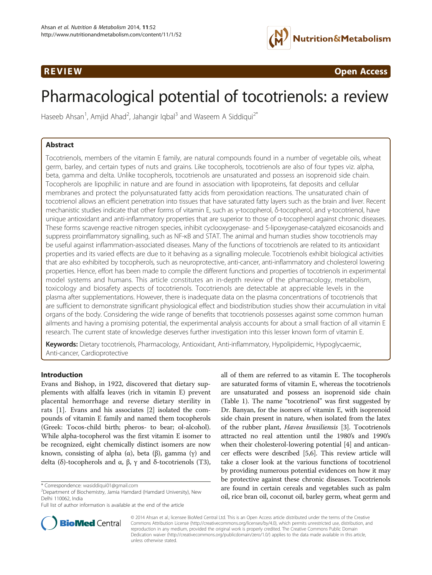

**REVIEW CONSIDERING CONSIDERING CONSIDERING CONSIDERING CONSIDERING CONSIDERING CONSIDERING CONSIDERING CONSIDERING CONSIDERING CONSIDERING CONSIDERING CONSIDERING CONSIDERING CONSIDERING CONSIDERING CONSIDERING CONSIDER** 

# Pharmacological potential of tocotrienols: a review

Haseeb Ahsan<sup>1</sup>, Amjid Ahad<sup>2</sup>, Jahangir Iqbal<sup>3</sup> and Waseem A Siddiqui<sup>2\*</sup>

# Abstract

Tocotrienols, members of the vitamin E family, are natural compounds found in a number of vegetable oils, wheat germ, barley, and certain types of nuts and grains. Like tocopherols, tocotrienols are also of four types viz. alpha, beta, gamma and delta. Unlike tocopherols, tocotrienols are unsaturated and possess an isoprenoid side chain. Tocopherols are lipophilic in nature and are found in association with lipoproteins, fat deposits and cellular membranes and protect the polyunsaturated fatty acids from peroxidation reactions. The unsaturated chain of tocotrienol allows an efficient penetration into tissues that have saturated fatty layers such as the brain and liver. Recent mechanistic studies indicate that other forms of vitamin E, such as γ-tocopherol, δ-tocopherol, and γ-tocotrienol, have unique antioxidant and anti-inflammatory properties that are superior to those of α-tocopherol against chronic diseases. These forms scavenge reactive nitrogen species, inhibit cyclooxygenase- and 5-lipoxygenase-catalyzed eicosanoids and suppress proinflammatory signalling, such as NF-κB and STAT. The animal and human studies show tocotrienols may be useful against inflammation-associated diseases. Many of the functions of tocotrienols are related to its antioxidant properties and its varied effects are due to it behaving as a signalling molecule. Tocotrienols exhibit biological activities that are also exhibited by tocopherols, such as neuroprotective, anti-cancer, anti-inflammatory and cholesterol lowering properties. Hence, effort has been made to compile the different functions and properties of tocotrienols in experimental model systems and humans. This article constitutes an in-depth review of the pharmacology, metabolism, toxicology and biosafety aspects of tocotrienols. Tocotrienols are detectable at appreciable levels in the plasma after supplementations. However, there is inadequate data on the plasma concentrations of tocotrienols that are sufficient to demonstrate significant physiological effect and biodistribution studies show their accumulation in vital organs of the body. Considering the wide range of benefits that tocotrienols possesses against some common human ailments and having a promising potential, the experimental analysis accounts for about a small fraction of all vitamin E research. The current state of knowledge deserves further investigation into this lesser known form of vitamin E.

Keywords: Dietary tocotrienols, Pharmacology, Antioxidant, Anti-inflammatory, Hypolipidemic, Hypoglycaemic, Anti-cancer, Cardioprotective

## Introduction

Evans and Bishop, in 1922, discovered that dietary supplements with alfalfa leaves (rich in vitamin E) prevent placental hemorrhage and reverse dietary sterility in rats [[1](#page-16-0)]. Evans and his associates [[2](#page-16-0)] isolated the compounds of vitamin E family and named them tocopherols (Greek: Tocos-child birth; pheros- to bear; ol-alcohol). While alpha-tocopherol was the first vitamin E isomer to be recognized, eight chemically distinct isomers are now known, consisting of alpha (α), beta (β), gamma (γ) and delta (δ)-tocopherols and α, β, γ and δ-tocotrienols (T3),

all of them are referred to as vitamin E. The tocopherols are saturated forms of vitamin E, whereas the tocotrienols are unsaturated and possess an isoprenoid side chain (Table [1](#page-1-0)). The name "tocotrienol" was first suggested by Dr. Banyan, for the isomers of vitamin E, with isoprenoid side chain present in nature, when isolated from the latex of the rubber plant, Havea brasiliensis [\[3](#page-16-0)]. Tocotrienols attracted no real attention until the 1980's and 1990's when their cholesterol-lowering potential [\[4\]](#page-16-0) and anticancer effects were described [[5,6\]](#page-16-0). This review article will take a closer look at the various functions of tocotrienol by providing numerous potential evidences on how it may be protective against these chronic diseases. Tocotrienols are found in certain cereals and vegetables such as palm oil, rice bran oil, coconut oil, barley germ, wheat germ and



© 2014 Ahsan et al.; licensee BioMed Central Ltd. This is an Open Access article distributed under the terms of the Creative Commons Attribution License [\(http://creativecommons.org/licenses/by/4.0\)](http://creativecommons.org/licenses/by/4.0), which permits unrestricted use, distribution, and reproduction in any medium, provided the original work is properly credited. The Creative Commons Public Domain Dedication waiver [\(http://creativecommons.org/publicdomain/zero/1.0/](http://creativecommons.org/publicdomain/zero/1.0/)) applies to the data made available in this article, unless otherwise stated.

<sup>\*</sup> Correspondence: [wasiddiqui01@gmail.com](mailto:wasiddiqui01@gmail.com) <sup>2</sup>

 $2$ Department of Biochemistry, Jamia Hamdard (Hamdard University), New Delhi 110062, India

Full list of author information is available at the end of the article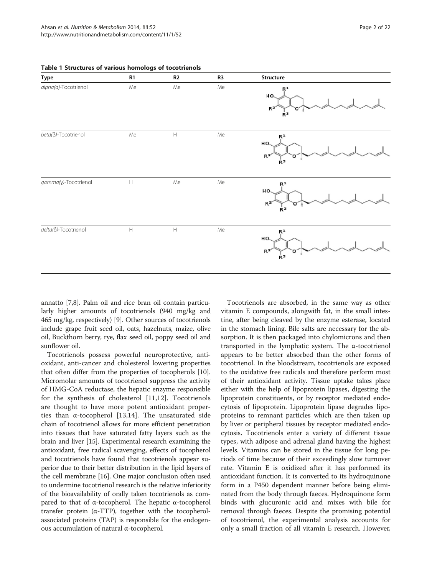| Type                         | R1                        | R2                        | R <sub>3</sub> | Structure                                                           |
|------------------------------|---------------------------|---------------------------|----------------|---------------------------------------------------------------------|
| alpha(a)-Tocotrienol         | Me                        | Me                        | Me             | R <sup>1</sup><br>HO.<br>R <sup>2</sup><br>Ŕ <sup>3</sup>           |
| beta(B)-Tocotrienol          | Me                        | $\boldsymbol{\mathsf{H}}$ | Me             | Ŗ.<br>HO.<br>R <sup>2</sup><br>o<br>Ξ<br>Ŕ <sup>3</sup>             |
| gamma(γ)-Tocotrienol         | $\boldsymbol{\mathsf{H}}$ | Me                        | Me             | R <sup>1</sup><br>HO.<br>R <sup>2</sup><br>о<br>Ξ<br><sub>R</sub> ∍ |
| $delta(\delta)$ -Tocotrienol | $\boldsymbol{\mathsf{H}}$ | $\boldsymbol{\mathsf{H}}$ | Me             | R <sup>1</sup><br>HO.<br>$R^2$<br>о<br>Ξ<br>Ŕ₹.                     |

<span id="page-1-0"></span>Table 1 Structures of various homologs of tocotrienols

annatto [\[7,8\]](#page-16-0). Palm oil and rice bran oil contain particularly higher amounts of tocotrienols (940 mg/kg and 465 mg/kg, respectively) [\[9](#page-16-0)]. Other sources of tocotrienols include grape fruit seed oil, oats, hazelnuts, maize, olive oil, Buckthorn berry, rye, flax seed oil, poppy seed oil and sunflower oil.

Tocotrienols possess powerful neuroprotective, antioxidant, anti-cancer and cholesterol lowering properties that often differ from the properties of tocopherols [\[10](#page-16-0)]. Micromolar amounts of tocotrienol suppress the activity of HMG-CoA reductase, the hepatic enzyme responsible for the synthesis of cholesterol [\[11](#page-16-0),[12\]](#page-16-0). Tocotrienols are thought to have more potent antioxidant properties than  $\alpha$ -tocopherol [[13,14](#page-16-0)]. The unsaturated side chain of tocotrienol allows for more efficient penetration into tissues that have saturated fatty layers such as the brain and liver [\[15\]](#page-16-0). Experimental research examining the antioxidant, free radical scavenging, effects of tocopherol and tocotrienols have found that tocotrienols appear superior due to their better distribution in the lipid layers of the cell membrane [\[16\]](#page-16-0). One major conclusion often used to undermine tocotrienol research is the relative inferiority of the bioavailability of orally taken tocotrienols as compared to that of α-tocopherol. The hepatic α-tocopherol transfer protein (α-TTP), together with the tocopherolassociated proteins (TAP) is responsible for the endogenous accumulation of natural α-tocopherol.

Tocotrienols are absorbed, in the same way as other vitamin E compounds, alongwith fat, in the small intestine, after being cleaved by the enzyme esterase, located in the stomach lining. Bile salts are necessary for the absorption. It is then packaged into chylomicrons and then transported in the lymphatic system. The α-tocotrienol appears to be better absorbed than the other forms of tocotrienol. In the bloodstream, tocotrienols are exposed to the oxidative free radicals and therefore perform most of their antioxidant activity. Tissue uptake takes place either with the help of lipoprotein lipases, digesting the lipoprotein constituents, or by receptor mediated endocytosis of lipoprotein. Lipoprotein lipase degrades lipoproteins to remnant particles which are then taken up by liver or peripheral tissues by receptor mediated endocytosis. Tocotrienols enter a variety of different tissue types, with adipose and adrenal gland having the highest levels. Vitamins can be stored in the tissue for long periods of time because of their exceedingly slow turnover rate. Vitamin E is oxidized after it has performed its antioxidant function. It is converted to its hydroquinone form in a P450 dependent manner before being eliminated from the body through faeces. Hydroquinone form binds with glucuronic acid and mixes with bile for removal through faeces. Despite the promising potential of tocotrienol, the experimental analysis accounts for only a small fraction of all vitamin E research. However,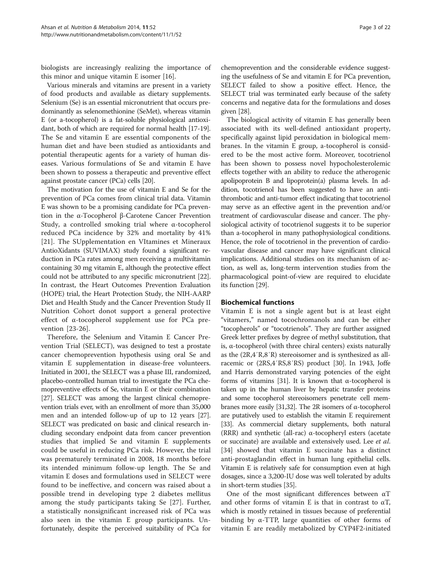biologists are increasingly realizing the importance of this minor and unique vitamin E isomer [[16](#page-16-0)].

Various minerals and vitamins are present in a variety of food products and available as dietary supplements. Selenium (Se) is an essential micronutrient that occurs predominantly as selenomethionine (SeMet), whereas vitamin E (or a-tocopherol) is a fat-soluble physiological antioxidant, both of which are required for normal health [\[17](#page-16-0)-[19](#page-16-0)]. The Se and vitamin E are essential components of the human diet and have been studied as antioxidants and potential therapeutic agents for a variety of human diseases. Various formulations of Se and vitamin E have been shown to possess a therapeutic and preventive effect against prostate cancer (PCa) cells [\[20\]](#page-16-0).

The motivation for the use of vitamin E and Se for the prevention of PCa comes from clinical trial data. Vitamin E was shown to be a promising candidate for PCa prevention in the α-Tocopherol β-Carotene Cancer Prevention Study, a controlled smoking trial where α-tocopherol reduced PCa incidence by 32% and mortality by 41% [[21\]](#page-16-0). The SUpplementation en VItamines et Mineraux AntioXidants (SUVIMAX) study found a significant reduction in PCa rates among men receiving a multivitamin containing 30 mg vitamin E, although the protective effect could not be attributed to any specific micronutrient [[22](#page-16-0)]. In contrast, the Heart Outcomes Prevention Evaluation (HOPE) trial, the Heart Protection Study, the NIH-AARP Diet and Health Study and the Cancer Prevention Study II Nutrition Cohort donot support a general protective effect of α-tocopherol supplement use for PCa prevention [[23](#page-16-0)-[26\]](#page-17-0).

Therefore, the Selenium and Vitamin E Cancer Prevention Trial (SELECT), was designed to test a prostate cancer chemoprevention hypothesis using oral Se and vitamin E supplementation in disease-free volunteers. Initiated in 2001, the SELECT was a phase III, randomized, placebo-controlled human trial to investigate the PCa chemopreventive effects of Se, vitamin E or their combination [[27](#page-17-0)]. SELECT was among the largest clinical chemoprevention trials ever, with an enrollment of more than 35,000 men and an intended follow-up of up to 12 years [[27](#page-17-0)]. SELECT was predicated on basic and clinical research including secondary endpoint data from cancer prevention studies that implied Se and vitamin E supplements could be useful in reducing PCa risk. However, the trial was prematurely terminated in 2008, 18 months before its intended minimum follow-up length. The Se and vitamin E doses and formulations used in SELECT were found to be ineffective, and concern was raised about a possible trend in developing type 2 diabetes mellitus among the study participants taking Se [\[27](#page-17-0)]. Further, a statistically nonsignificant increased risk of PCa was also seen in the vitamin E group participants. Unfortunately, despite the perceived suitability of PCa for

chemoprevention and the considerable evidence suggesting the usefulness of Se and vitamin E for PCa prevention, SELECT failed to show a positive effect. Hence, the SELECT trial was terminated early because of the safety concerns and negative data for the formulations and doses given [[28](#page-17-0)].

The biological activity of vitamin E has generally been associated with its well-defined antioxidant property, specifically against lipid peroxidation in biological membranes. In the vitamin E group, a-tocopherol is considered to be the most active form. Moreover, tocotrienol has been shown to possess novel hypocholesterolemic effects together with an ability to reduce the atherogenic apolipoprotein B and lipoprotein(a) plasma levels. In addition, tocotrienol has been suggested to have an antithrombotic and anti-tumor effect indicating that tocotrienol may serve as an effective agent in the prevention and/or treatment of cardiovascular disease and cancer. The physiological activity of tocotrienol suggests it to be superior than a-tocopherol in many pathophysiological conditions. Hence, the role of tocotrienol in the prevention of cardiovascular disease and cancer may have significant clinical implications. Additional studies on its mechanism of action, as well as, long-term intervention studies from the pharmacological point-of-view are required to elucidate its function [\[29\]](#page-17-0).

#### Biochemical functions

Vitamin E is not a single agent but is at least eight "vitamers," named tocochromanols and can be either "tocopherols" or "tocotrienols". They are further assigned Greek letter prefixes by degree of methyl substitution, that is, α-tocopherol (with three chiral centers) exists naturally as the (2R,4′R,8′R) stereoisomer and is synthesized as allracemic or (2RS,4′RS,8′RS) product [[30](#page-17-0)]. In 1943, Joffe and Harris demonstrated varying potencies of the eight forms of vitamins [\[31\]](#page-17-0). It is known that α-tocopherol is taken up in the human liver by hepatic transfer proteins and some tocopherol stereoisomers penetrate cell membranes more easily [[31,32](#page-17-0)]. The 2R isomers of α-tocopherol are putatively used to establish the vitamin E requirement [[33](#page-17-0)]. As commercial dietary supplements, both natural (RRR) and synthetic (all-rac) α-tocopheryl esters (acetate or succinate) are available and extensively used. Lee *et al.* [[34\]](#page-17-0) showed that vitamin E succinate has a distinct anti-prostaglandin effect in human lung epithelial cells. Vitamin E is relatively safe for consumption even at high dosages, since a 3,200-IU dose was well tolerated by adults in short-term studies [\[35\]](#page-17-0).

One of the most significant differences between  $\alpha$ T and other forms of vitamin E is that in contrast to  $\alpha T$ , which is mostly retained in tissues because of preferential binding by  $α$ -TTP, large quantities of other forms of vitamin E are readily metabolized by CYP4F2-initiated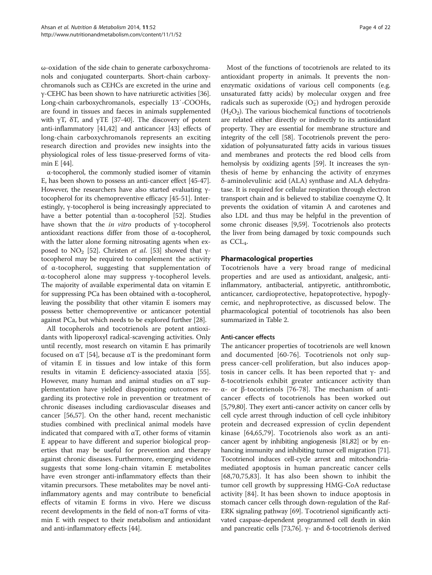ω-oxidation of the side chain to generate carboxychromanols and conjugated counterparts. Short-chain carboxychromanols such as CEHCs are excreted in the urine and γ-CEHC has been shown to have natriuretic activities [\[36](#page-17-0)]. Long-chain carboxychromanols, especially 13′-COOHs, are found in tissues and faeces in animals supplemented with  $\gamma T$ ,  $\delta T$ , and  $\gamma TE$  [\[37-40\]](#page-17-0). The discovery of potent anti-inflammatory [\[41,42](#page-17-0)] and anticancer [\[43\]](#page-17-0) effects of long-chain carboxychromanols represents an exciting research direction and provides new insights into the physiological roles of less tissue-preserved forms of vitamin E [\[44](#page-17-0)].

α-tocopherol, the commonly studied isomer of vitamin E, has been shown to possess an anti-cancer effect [\[45](#page-17-0)-[47](#page-17-0)]. However, the researchers have also started evaluating γtocopherol for its chemopreventive efficacy [[45](#page-17-0)-[51](#page-17-0)]. Interestingly, γ-tocopherol is being increasingly appreciated to have a better potential than α-tocopherol [[52](#page-17-0)]. Studies have shown that the in vitro products of <sup>γ</sup>-tocopherol antioxidant reactions differ from those of α-tocopherol, with the latter alone forming nitrosating agents when ex-posed to NO<sub>2</sub> [\[52\]](#page-17-0). Christen *et al.* [\[53\]](#page-17-0) showed that γtocopherol may be required to complement the activity of α-tocopherol, suggesting that supplementation of α-tocopherol alone may suppress γ-tocopherol levels. The majority of available experimental data on vitamin E for suppressing PCa has been obtained with α-tocopherol, leaving the possibility that other vitamin E isomers may possess better chemopreventive or anticancer potential against PCa, but which needs to be explored further [\[28\]](#page-17-0).

All tocopherols and tocotrienols are potent antioxidants with lipoperoxyl radical-scavenging activities. Only until recently, most research on vitamin E has primarily focused on αT [\[54](#page-17-0)], because αT is the predominant form of vitamin E in tissues and low intake of this form results in vitamin E deficiency-associated ataxia [\[55](#page-17-0)]. However, many human and animal studies on  $\alpha$ T supplementation have yielded disappointing outcomes regarding its protective role in prevention or treatment of chronic diseases including cardiovascular diseases and cancer [\[56,57\]](#page-17-0). On the other hand, recent mechanistic studies combined with preclinical animal models have indicated that compared with  $\alpha T$ , other forms of vitamin E appear to have different and superior biological properties that may be useful for prevention and therapy against chronic diseases. Furthermore, emerging evidence suggests that some long-chain vitamin E metabolites have even stronger anti-inflammatory effects than their vitamin precursors. These metabolites may be novel antiinflammatory agents and may contribute to beneficial effects of vitamin E forms in vivo. Here we discuss recent developments in the field of non-αT forms of vitamin E with respect to their metabolism and antioxidant and anti-inflammatory effects [\[44](#page-17-0)].

Most of the functions of tocotrienols are related to its antioxidant property in animals. It prevents the nonenzymatic oxidations of various cell components (e.g. unsaturated fatty acids) by molecular oxygen and free radicals such as superoxide  $(O_2^-)$  and hydrogen peroxide  $(H<sub>2</sub>O<sub>2</sub>)$ . The various biochemical functions of tocotrienols are related either directly or indirectly to its antioxidant property. They are essential for membrane structure and integrity of the cell [[58](#page-17-0)]. Tocotrienols prevent the peroxidation of polyunsaturated fatty acids in various tissues and membranes and protects the red blood cells from hemolysis by oxidizing agents [\[59\]](#page-17-0). It increases the synthesis of heme by enhancing the activity of enzymes δ-aminolevulinic acid (ALA) synthase and ALA dehydratase. It is required for cellular respiration through electron transport chain and is believed to stabilize coenzyme Q. It prevents the oxidation of vitamin A and carotenes and also LDL and thus may be helpful in the prevention of some chronic diseases [[9](#page-16-0)[,59](#page-17-0)]. Tocotrienols also protects the liver from being damaged by toxic compounds such as  $CCL<sub>A</sub>$ .

# Pharmacological properties

Tocotrienols have a very broad range of medicinal properties and are used as antioxidant, analgesic, antiinflammatory, antibacterial, antipyretic, antithrombotic, anticancer, cardioprotective, hepatoprotective, hypoglycemic, and nephroprotective, as discussed below. The pharmacological potential of tocotrienols has also been summarized in Table [2](#page-4-0).

## Anti-cancer effects

The anticancer properties of tocotrienols are well known and documented [[60](#page-17-0)[-76](#page-18-0)]. Tocotrienols not only suppress cancer-cell proliferation, but also induces apoptosis in cancer cells. It has been reported that  $γ$ - and δ-tocotrienols exhibit greater anticancer activity than α- or β-tocotrienols [[76-78](#page-18-0)]. The mechanism of anticancer effects of tocotrienols has been worked out [[5](#page-16-0)[,79,80\]](#page-18-0). They exert anti-cancer activity on cancer cells by cell cycle arrest through induction of cell cycle inhibitory protein and decreased expression of cyclin dependent kinase [\[64](#page-17-0),[65,](#page-17-0)[79\]](#page-18-0). Tocotrienols also work as an anticancer agent by inhibiting angiogenesis [\[81,82](#page-18-0)] or by enhancing immunity and inhibiting tumor cell migration [[71](#page-18-0)]. Tocotrienol induces cell-cycle arrest and mitochondriamediated apoptosis in human pancreatic cancer cells [[68](#page-17-0)[,70,75](#page-18-0),[83\]](#page-18-0). It has also been shown to inhibit the tumor cell growth by suppressing HMG-CoA reductase activity [[84\]](#page-18-0). It has been shown to induce apoptosis in stomach cancer cells through down-regulation of the Raf-ERK signaling pathway [[69](#page-18-0)]. Tocotrienol significantly activated caspase-dependent programmed cell death in skin and pancreatic cells [[73](#page-18-0),[76](#page-18-0)]. γ- and δ-tocotrienols derived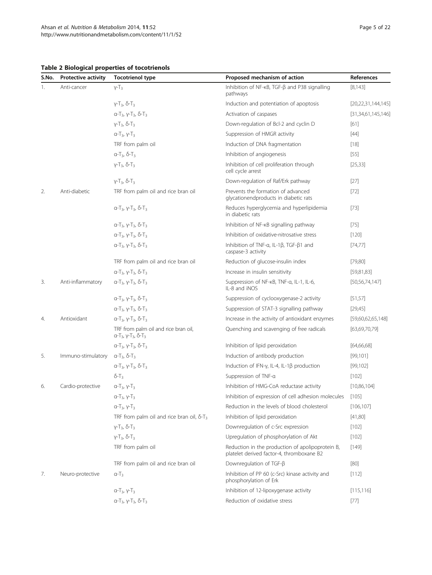<span id="page-4-0"></span>Table 2 Biological properties of tocotrienols

| S.No. | <b>Protective activity</b> | <b>Tocotrienol type</b>                                                                                | Proposed mechanism of action                                                                  | References             |
|-------|----------------------------|--------------------------------------------------------------------------------------------------------|-----------------------------------------------------------------------------------------------|------------------------|
| 1.    | Anti-cancer                | $Y-T_3$                                                                                                | Inhibition of NF- $\kappa$ B, TGF- $\beta$ and P38 signalling<br>pathways                     | [8, 143]               |
|       |                            | $y-T_3$ , $\delta-T_3$                                                                                 | Induction and potentiation of apoptosis                                                       | [20, 22, 31, 144, 145] |
|       |                            | $α-T_3$ , γ-T <sub>3</sub> , δ-T <sub>3</sub>                                                          | Activation of caspases                                                                        | [31,34,61,145,146]     |
|       |                            | $Y-T_3$ , δ-Τ <sub>3</sub>                                                                             | Down-regulation of Bcl-2 and cyclin D                                                         | $[61]$                 |
|       |                            | $a-T_3, y-T_3$                                                                                         | Suppression of HMGR activity                                                                  | $[44]$                 |
|       |                            | TRF from palm oil                                                                                      | Induction of DNA fragmentation                                                                | $[18]$                 |
|       |                            | $α-T_3$ , $δ-T_3$                                                                                      | Inhibition of angiogenesis                                                                    | $[55]$                 |
|       |                            | $Y-T_3$ , $\delta$ -T <sub>3</sub>                                                                     | Inhibition of cell proliferation through<br>cell cycle arrest                                 | [25, 33]               |
|       |                            | $Y-T_3$ , $\delta$ -T <sub>3</sub>                                                                     | Down-regulation of Raf/Erk pathway                                                            | $[27]$                 |
| 2.    | Anti-diabetic              | TRF from palm oil and rice bran oil                                                                    | Prevents the formation of advanced<br>glycationendproducts in diabetic rats                   | $[72]$                 |
|       |                            | $α-T_3$ , γ-Τ <sub>3</sub> , δ-Τ <sub>3</sub>                                                          | Reduces hyperglycemia and hyperlipidemia<br>in diabetic rats                                  | $[73]$                 |
|       |                            | $α-T_3$ , γ-Τ <sub>3</sub> , δ-Τ <sub>3</sub>                                                          | Inhibition of NF-KB signalling pathway                                                        | $[75]$                 |
|       |                            | $a-T_3$ , $v-T_3$ , $\delta-T_3$                                                                       | Inhibition of oxidative-nitrosative stress                                                    | [120]                  |
|       |                            | $a-T_3$ , $y-T_3$ , $\delta-T_3$                                                                       | Inhibition of TNF-α, IL-1β, TGF-β1 and<br>caspase-3 activity                                  | [74, 77]               |
|       |                            | TRF from palm oil and rice bran oil                                                                    | Reduction of glucose-insulin index                                                            | [79,80]                |
|       |                            | $α-T_3$ , γ-Τ <sub>3</sub> , δ-Τ <sub>3</sub>                                                          | Increase in insulin sensitivity                                                               | [59,81,83]             |
| 3.    | Anti-inflammatory          | $α-T_3$ , γ-T <sub>3</sub> , δ-T <sub>3</sub>                                                          | Suppression of NF-KB, TNF-a, IL-1, IL-6,<br>IL-8 and iNOS                                     | [50, 56, 74, 147]      |
|       |                            | $α-T_3$ , γ-T <sub>3</sub> , δ-T <sub>3</sub>                                                          | Suppression of cyclooxygenase-2 activity                                                      | [51, 57]               |
|       |                            | $a-T_3$ , $y-T_3$ , $\delta-T_3$                                                                       | Suppression of STAT-3 signalling pathway                                                      | [29,45]                |
| 4.    | Antioxidant                | $a-T_3$ , $y-T_3$ , $\delta-T_3$                                                                       | Increase in the activity of antioxidant enzymes                                               | [59,60,62,65,148]      |
|       |                            | TRF from palm oil and rice bran oil,<br>$\alpha$ -T <sub>3</sub> , γ-T <sub>3</sub> , δ-T <sub>3</sub> | Quenching and scavenging of free radicals                                                     | [63,69,70,79]          |
|       |                            | $a-T_3$ , $y-T_3$ , $\delta-T_3$                                                                       | Inhibition of lipid peroxidation                                                              | [64,66,68]             |
| 5.    | Immuno-stimulatory         | $a-T_3$ , $\delta-T_3$                                                                                 | Induction of antibody production                                                              | [99, 101]              |
|       |                            | α-Τ <sub>3</sub> , γ-Τ <sub>3</sub> , δ-Τ <sub>3</sub>                                                 | Induction of IFN- $\gamma$ , IL-4, IL-1 $\beta$ production                                    | [99, 102]              |
|       |                            | $\delta$ -T <sub>3</sub>                                                                               | Suppression of TNF-a                                                                          | $[102]$                |
| 6.    | Cardio-protective          | $α-T_3$ , γ- $T_3$                                                                                     | Inhibition of HMG-CoA reductase activity                                                      | [10,86,104]            |
|       |                            | $α-T_3$ , γ- $T_3$                                                                                     | Inhibition of expression of cell adhesion molecules                                           | [105]                  |
|       |                            | $a-T_3, y-T_3$                                                                                         | Reduction in the levels of blood cholesterol                                                  | [106, 107]             |
|       |                            | TRF from palm oil and rice bran oil, $\delta$ -T <sub>3</sub>                                          | Inhibition of lipid peroxidation                                                              | [41,80]                |
|       |                            | $Y-T_3$ , δ-Τ <sub>3</sub>                                                                             | Downregulation of c-Src expression                                                            | $[102]$                |
|       |                            | $Y-T_3$ , δ-Τ <sub>3</sub>                                                                             | Upregulation of phosphorylation of Akt                                                        | [102]                  |
|       |                            | TRF from palm oil                                                                                      | Reduction in the production of apolipoprotein B,<br>platelet derived factor-4, thromboxane B2 | $[149]$                |
|       |                            | TRF from palm oil and rice bran oil                                                                    | Downregulation of TGF-ß                                                                       | $[80]$                 |
| 7.    | Neuro-protective           | $a-T_3$                                                                                                | Inhibition of PP 60 (c-Src) kinase activity and<br>phosphorylation of Erk                     | [112]                  |
|       |                            | $a-T_3$ , $y-T_3$                                                                                      | Inhibition of 12-lipoxygenase activity                                                        | [115, 116]             |
|       |                            | $α-T_3$ , γ-Τ <sub>3</sub> , δ-Τ <sub>3</sub>                                                          | Reduction of oxidative stress                                                                 | $[77]$                 |
|       |                            |                                                                                                        |                                                                                               |                        |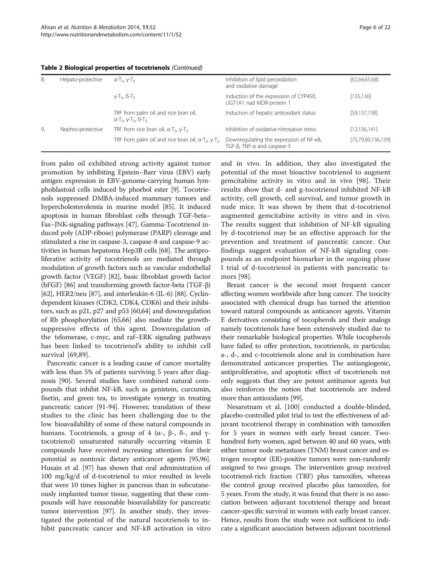| 8. | Hepato-protective | $\alpha$ -T <sub>3</sub> , $\gamma$ -T <sub>3</sub>                                      | Inhibition of lipid peroxidation<br>and oxidative damage              | [62, 64, 65, 68]   |
|----|-------------------|------------------------------------------------------------------------------------------|-----------------------------------------------------------------------|--------------------|
|    |                   | $Y-T_3$ , $\delta$ -T <sub>3</sub>                                                       | Induction of the expression of CYP450,<br>UGT1A1 nad MDR-protein 1    | [135, 136]         |
|    |                   | TRF from palm oil and rice bran oil,<br>$a-T_3$ , $y-T_3$ , $\delta-T_3$                 | Induction of hepatic antioxidant status                               | [59, 137, 138]     |
| 9. | Nephro-protective | TRF from rice bran oil, $\alpha$ -T <sub>3</sub> , $\gamma$ -T <sub>3</sub>              | Inhibition of oxidative-nitrosative stress                            | [12, 136, 141]     |
|    |                   | TRF from palm oil and rice bran oil, $\alpha$ -T <sub>3</sub> , $\gamma$ -T <sub>3</sub> | Downregulating the expression of NF-KB,<br>TGF-B, TNF-a and caspase-3 | [75,79,80,136,139] |

Table 2 Biological properties of tocotrienols (Continued)

from palm oil exhibited strong activity against tumor promotion by inhibiting Epstein–Barr virus (EBV) early antigen expression in EBV-genome-carrying human lymphoblastoid cells induced by phorbol ester [[9\]](#page-16-0). Tocotrienols suppressed DMBA-induced mammary tumors and hypercholesterolemia in murine model [\[85\]](#page-18-0). It induced apoptosis in human fibroblast cells through TGF-beta– Fas–JNK-signaling pathways [\[47](#page-17-0)]. Gamma-Tocotrienol induced poly (ADP-ribose) polymerase (PARP) cleavage and stimulated a rise in caspase-3, caspase-8 and caspase-9 activities in human hepatoma Hep3B cells [\[68\]](#page-17-0). The antiproliferative activity of tocotrienols are mediated through modulation of growth factors such as vascular endothelial growth factor (VEGF) [[82](#page-18-0)], basic fibroblast growth factor (bFGF) [\[86](#page-18-0)] and transforming growth factor-beta (TGF-β) [[62](#page-17-0)], HER2/neu [\[87\]](#page-18-0), and interleukin-6 (IL-6) [\[88\]](#page-18-0). Cyclindependent kinases (CDK2, CDK4, CDK6) and their inhibitors, such as p21, p27 and p53 [\[60,64\]](#page-17-0) and downregulation of Rb phosphorylation [[65,66](#page-17-0)] also mediate the growthsuppressive effects of this agent. Downregulation of the telomerase, c-myc, and raf–ERK signaling pathways has been linked to tocotrienol's ability to inhibit cell survival [\[69,89](#page-18-0)].

Pancreatic cancer is a leading cause of cancer mortality with less than 5% of patients surviving 5 years after diagnosis [[90](#page-18-0)]. Several studies have combined natural compounds that inhibit NF-kB, such as genistein, curcumin, fisetin, and green tea, to investigate synergy in treating pancreatic cancer [\[91-94\]](#page-18-0). However, translation of these studies to the clinic has been challenging due to the low bioavailability of some of these natural compounds in humans. Tocotrienols, a group of 4 ( $\alpha$ -,  $\beta$ -,  $\delta$ -, and γtocotrienol) unsaturated naturally occurring vitamin E compounds have received increasing attention for their potential as nontoxic dietary anticancer agents [\[95,96](#page-18-0)]. Husain et al. [[97](#page-18-0)] has shown that oral administration of 100 mg/kg/d of d-tocotrienol to mice resulted in levels that were 10 times higher in pancreas than in subcutaneously implanted tumor tissue, suggesting that these compounds will have reasonable bioavailability for pancreatic tumor intervention [[97](#page-18-0)]. In another study, they investigated the potential of the natural tocotrienols to inhibit pancreatic cancer and NF-kB activation in vitro and in vivo. In addition, they also investigated the potential of the most bioactive tocotrienol to augment gemcitabine activity in vitro and in vivo [[98\]](#page-18-0). Their results show that d- and g-tocotrienol inhibited NF-kB activity, cell growth, cell survival, and tumor growth in nude mice. It was shown by them that d-tocotrienol augmented gemcitabine activity in vitro and in vivo. The results suggest that inhibition of NF-kB signaling by d-tocotrienol may be an effective approach for the prevention and treatment of pancreatic cancer. Our findings suggest evaluation of NF-kB signaling compounds as an endpoint biomarker in the ongoing phase I trial of d-tocotrienol in patients with pancreatic tumors [[98\]](#page-18-0).

Breast cancer is the second most frequent cancer affecting women worldwide after lung cancer. The toxicity associated with chemical drugs has turned the attention toward natural compounds as anticancer agents. Vitamin E derivatives consisting of tocopherols and their analogs namely tocotrienols have been extensively studied due to their remarkable biological properties. While tocopherols have failed to offer protection, tocotrienols, in particular, a-, d-, and c-tocotrienols alone and in combination have demonstrated anticancer properties. The antiangiogenic, antiproliferative, and apoptotic effect of tocotrienols not only suggests that they are potent antitumor agents but also reinforces the notion that tocotrienols are indeed more than antioxidants [[99](#page-18-0)].

Nesaretnam et al. [[100\]](#page-18-0) conducted a double-blinded, placebo-controlled pilot trial to test the effectiveness of adjuvant tocotrienol therapy in combination with tamoxifen for 5 years in women with early breast cancer. Twohundred forty women, aged between 40 and 60 years, with either tumor node metastases (TNM) breast cancer and estrogen receptor (ER)-positive tumors were non-randomly assigned to two groups. The intervention group received tocotrienol-rich fraction (TRF) plus tamoxifen, whereas the control group received placebo plus tamoxifen, for 5 years. From the study, it was found that there is no association between adjuvant tocotrienol therapy and breast cancer-specific survival in women with early breast cancer. Hence, results from the study were not sufficient to indicate a significant association between adjuvant tocotrienol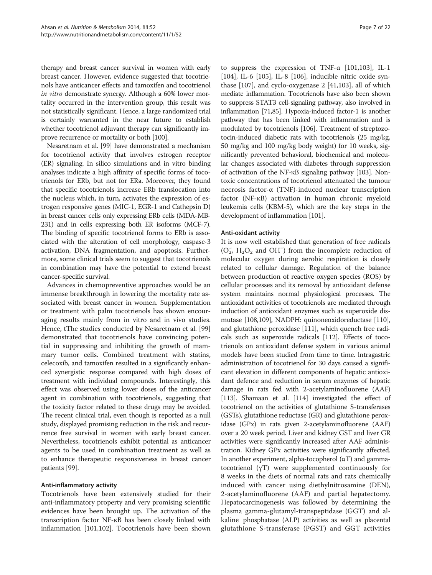therapy and breast cancer survival in women with early breast cancer. However, evidence suggested that tocotrienols have anticancer effects and tamoxifen and tocotrienol in vitro demonstrate synergy. Although a 60% lower mortality occurred in the intervention group, this result was not statistically significant. Hence, a large randomized trial is certainly warranted in the near future to establish whether tocotrienol adjuvant therapy can significantly improve recurrence or mortality or both [\[100\]](#page-18-0).

Nesaretnam et al. [[99](#page-18-0)] have demonstrated a mechanism for tocotrienol activity that involves estrogen receptor (ER) signaling. In silico simulations and in vitro binding analyses indicate a high affinity of specific forms of tocotrienols for ERb, but not for ERa. Moreover, they found that specific tocotrienols increase ERb translocation into the nucleus which, in turn, activates the expression of estrogen responsive genes (MIC-1, EGR-1 and Cathepsin D) in breast cancer cells only expressing ERb cells (MDA-MB-231) and in cells expressing both ER isoforms (MCF-7). The binding of specific tocotrienol forms to ERb is associated with the alteration of cell morphology, caspase-3 activation, DNA fragmentation, and apoptosis. Furthermore, some clinical trials seem to suggest that tocotrienols in combination may have the potential to extend breast cancer-specific survival.

Advances in chemopreventive approaches would be an immense breakthrough in lowering the mortality rate associated with breast cancer in women. Supplementation or treatment with palm tocotrienols has shown encouraging results mainly from in vitro and in vivo studies. Hence, tThe studies conducted by Nesaretnam et al. [[99](#page-18-0)] demonstrated that tocotrienols have convincing potential in suppressing and inhibiting the growth of mammary tumor cells. Combined treatment with statins, celecoxib, and tamoxifen resulted in a significantly enhanced synergistic response compared with high doses of treatment with individual compounds. Interestingly, this effect was observed using lower doses of the anticancer agent in combination with tocotrienols, suggesting that the toxicity factor related to these drugs may be avoided. The recent clinical trial, even though is reported as a null study, displayed promising reduction in the risk and recurrence free survival in women with early breast cancer. Nevertheless, tocotrienols exhibit potential as anticancer agents to be used in combination treatment as well as to enhance therapeutic responsiveness in breast cancer patients [[99\]](#page-18-0).

# Anti-inflammatory activity

Tocotrienols have been extensively studied for their anti-inflammatory property and very promising scientific evidences have been brought up. The activation of the transcription factor NF-κB has been closely linked with inflammation [\[101,102\]](#page-18-0). Tocotrienols have been shown

to suppress the expression of TNF- $\alpha$  [[101,103](#page-18-0)], IL-1 [[104\]](#page-18-0), IL-6 [\[105\]](#page-18-0), IL-8 [\[106](#page-18-0)], inducible nitric oxide synthase [\[107](#page-18-0)], and cyclo-oxygenase 2 [[41,](#page-17-0)[103](#page-18-0)], all of which mediate inflammation. Tocotrienols have also been shown to suppress STAT3 cell-signaling pathway, also involved in inflammation [\[71,85\]](#page-18-0). Hypoxia-induced factor-1 is another pathway that has been linked with inflammation and is modulated by tocotrienols [[106](#page-18-0)]. Treatment of streptozotocin-induced diabetic rats with tocotrienols (25 mg/kg, 50 mg/kg and 100 mg/kg body weight) for 10 weeks, significantly prevented behavioral, biochemical and molecular changes associated with diabetes through suppression of activation of the NF-κB signaling pathway [\[103\]](#page-18-0). Nontoxic concentrations of tocotrienol attenuated the tumour necrosis factor-α (TNF)-induced nuclear transcription factor (NF-κB) activation in human chronic myeloid leukemia cells (KBM-5), which are the key steps in the development of inflammation [\[101](#page-18-0)].

## Anti-oxidant activity

It is now well established that generation of free radicals (O<sub>2</sub>, H<sub>2</sub>O<sub>2</sub> and OH<sup>-</sup>) from the incomplete reduction of molecular oxygen during aerobic respiration is closely related to cellular damage. Regulation of the balance between production of reactive oxygen species (ROS) by cellular processes and its removal by antioxidant defense system maintains normal physiological processes. The antioxidant activities of tocotrienols are mediated through induction of antioxidant enzymes such as superoxide dismutase [\[108](#page-18-0),[109](#page-18-0)], NADPH: quinoneoxidoreductase [[110](#page-18-0)], and glutathione peroxidase [\[111\]](#page-19-0), which quench free radicals such as superoxide radicals [\[112\]](#page-19-0). Effects of tocotrienols on antioxidant defense system in various animal models have been studied from time to time. lntragastric administration of tocotrienol for 30 days caused a significant elevation in different components of hepatic antioxidant defence and reduction in serum enzymes of hepatic damage in rats fed with 2-acetylaminofluorene (AAF) [[113](#page-19-0)]. Shamaan et al. [\[114\]](#page-19-0) investigated the effect of tocotrienol on the activities of glutathione S-transferases (GSTs), glutathione reductase (GR) and glutathione peroxidase (GPx) in rats given 2-acetylaminofluorene (AAF) over a 20 week period. Liver and kidney GST and liver GR activities were significantly increased after AAF administration. Kidney GPx activities were significantly affected. In another experiment, alpha-tocopherol  $(\alpha T)$  and gammatocotrienol (γT) were supplemented continuously for 8 weeks in the diets of normal rats and rats chemically induced with cancer using diethylnitrosamine (DEN), 2-acetylaminofluorene (AAF) and partial hepatectomy. Hepatocarcinogenesis was followed by determining the plasma gamma-glutamyl-transpeptidase (GGT) and alkaline phosphatase (ALP) activities as well as placental glutathione S-transferase (PGST) and GGT activities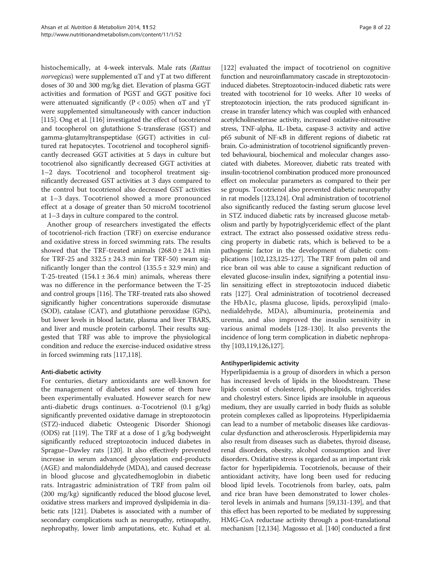histochemically, at 4-week intervals. Male rats (Rattus norvegicus) were supplemented <sup>α</sup>T and <sup>γ</sup>T at two different doses of 30 and 300 mg/kg diet. Elevation of plasma GGT activities and formation of PGST and GGT positive foci were attenuated significantly (P < 0.05) when  $\alpha$ T and  $\gamma$ T were supplemented simultaneously with cancer induction [[115](#page-19-0)]. Ong et al. [[116](#page-19-0)] investigated the effect of tocotrienol and tocopherol on glutathione S-transferase (GST) and gamma-glutamyltranspeptidase (GGT) activities in cultured rat hepatocytes. Tocotrienol and tocopherol significantly decreased GGT activities at 5 days in culture but tocotrienol also significantly decreased GGT activities at 1–2 days. Tocotrienol and tocopherol treatment significantly decreased GST activities at 3 days compared to the control but tocotrienol also decreased GST activities at 1–3 days. Tocotrienol showed a more pronounced effect at a dosage of greater than 50 microM tocotrienol at 1–3 days in culture compared to the control.

Another group of researchers investigated the effects of tocotrienol-rich fraction (TRF) on exercise endurance and oxidative stress in forced swimming rats. The results showed that the TRF-treated animals  $(268.0 \pm 24.1 \text{ min})$ for TRF-25 and  $332.5 \pm 24.3$  min for TRF-50) swam significantly longer than the control  $(135.5 \pm 32.9 \text{ min})$  and T-25-treated  $(154.1 \pm 36.4 \text{ min})$  animals, whereas there was no difference in the performance between the T-25 and control groups [[116\]](#page-19-0). The TRF-treated rats also showed significantly higher concentrations superoxide dismutase (SOD), catalase (CAT), and glutathione peroxidase (GPx), but lower levels in blood lactate, plasma and liver TBARS, and liver and muscle protein carbonyl. Their results suggested that TRF was able to improve the physiological condition and reduce the exercise-induced oxidative stress in forced swimming rats [[117,118\]](#page-19-0).

## Anti-diabetic activity

For centuries, dietary antioxidants are well-known for the management of diabetes and some of them have been experimentally evaluated. However search for new anti-diabetic drugs continues. α-Tocotrienol (0.1 g/kg) significantly prevented oxidative damage in streptozotocin (STZ)-induced diabetic Osteogenic Disorder Shionogi (ODS) rat [\[119](#page-19-0)]. The TRF at a dose of 1 g/kg bodyweight significantly reduced streptozotocin induced diabetes in Sprague–Dawley rats [\[120\]](#page-19-0). It also effectively prevented increase in serum advanced glycosylation end-products (AGE) and malondialdehyde (MDA), and caused decrease in blood glucose and glycatedhemoglobin in diabetic rats. Intragastric administration of TRF from palm oil (200 mg/kg) significantly reduced the blood glucose level, oxidative stress markers and improved dyslipidemia in diabetic rats [[121\]](#page-19-0). Diabetes is associated with a number of secondary complications such as neuropathy, retinopathy, nephropathy, lower limb amputations, etc. Kuhad et al.

[[122\]](#page-19-0) evaluated the impact of tocotrienol on cognitive function and neuroinflammatory cascade in streptozotocininduced diabetes. Streptozotocin-induced diabetic rats were treated with tocotrienol for 10 weeks. After 10 weeks of streptozotocin injection, the rats produced significant increase in transfer latency which was coupled with enhanced acetylcholinesterase activity, increased oxidative-nitrosative stress, TNF-alpha, IL-1beta, caspase-3 activity and active p65 subunit of NF-κB in different regions of diabetic rat brain. Co-administration of tocotrienol significantly prevented behavioural, biochemical and molecular changes associated with diabetes. Moreover, diabetic rats treated with insulin-tocotrienol combination produced more pronounced effect on molecular parameters as compared to their per se groups. Tocotrienol also prevented diabetic neuropathy in rat models [[123,124\]](#page-19-0). Oral administration of tocotrienol also significantly reduced the fasting serum glucose level in STZ induced diabetic rats by increased glucose metabolism and partly by hypotriglyceridemic effect of the plant extract. The extract also possessed oxidative stress reducing property in diabetic rats, which is believed to be a pathogenic factor in the development of diabetic complications [[102](#page-18-0)[,123,125](#page-19-0)-[127](#page-19-0)]. The TRF from palm oil and rice bran oil was able to cause a significant reduction of elevated glucose-insulin index, signifying a potential insulin sensitizing effect in streptozotocin induced diabetic rats [\[127\]](#page-19-0). Oral administration of tocotrienol decreased the HbA1c, plasma glucose, lipids, peroxylipid (malonedialdehyde, MDA), albuminuria, proteinemia and uremia, and also improved the insulin sensitivity in various animal models [[128-130](#page-19-0)]. It also prevents the incidence of long term complication in diabetic nephropathy [\[103](#page-18-0),[119,126,127](#page-19-0)].

## Antihyperlipidemic activity

Hyperlipidaemia is a group of disorders in which a person has increased levels of lipids in the bloodstream. These lipids consist of cholesterol, phospholipids, triglycerides and cholestryl esters. Since lipids are insoluble in aqueous medium, they are usually carried in body fluids as soluble protein complexes called as lipoproteins. Hyperlipidaemia can lead to a number of metabolic diseases like cardiovascular dysfunction and atherosclerosis. Hyperlipidemia may also result from diseases such as diabetes, thyroid disease, renal disorders, obesity, alcohol consumption and liver disorders. Oxidative stress is regarded as an important risk factor for hyperlipidemia. Tocotrienols, because of their antioxidant activity, have long been used for reducing blood lipid levels. Tocotrienols from barley, oats, palm and rice bran have been demonstrated to lower cholesterol levels in animals and humans [\[59](#page-17-0)[,131-139](#page-19-0)], and that this effect has been reported to be mediated by suppressing HMG-CoA reductase activity through a post-translational mechanism [\[12](#page-16-0)[,134\]](#page-19-0). Magosso et al. [[140](#page-19-0)] conducted a first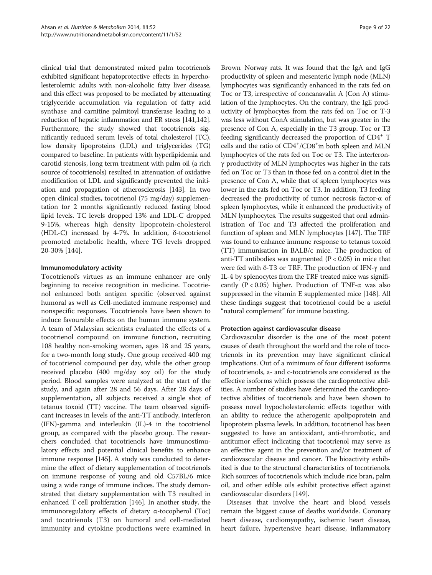clinical trial that demonstrated mixed palm tocotrienols exhibited significant hepatoprotective effects in hypercholesterolemic adults with non-alcoholic fatty liver disease, and this effect was proposed to be mediated by attenuating triglyceride accumulation via regulation of fatty acid synthase and carnitine palmitoyl transferase leading to a reduction of hepatic inflammation and ER stress [[141,142](#page-19-0)]. Furthermore, the study showed that tocotrienols significantly reduced serum levels of total cholesterol (TC), low density lipoproteins (LDL) and triglycerides (TG) compared to baseline. In patients with hyperlipidemia and carotid stenosis, long term treatment with palm oil (a rich source of tocotrienols) resulted in attenuation of oxidative modification of LDL and significantly prevented the initiation and propagation of atherosclerosis [[143](#page-19-0)]. In two open clinical studies, tocotrienol (75 mg/day) supplementation for 2 months significantly reduced fasting blood lipid levels. TC levels dropped 13% and LDL-C dropped 9-15%, whereas high density lipoprotein-cholesterol (HDL-C) increased by 4-7%. In addition, δ-tocotrienol promoted metabolic health, where TG levels dropped 20-30% [\[144](#page-19-0)].

## Immunomodulatory activity

Tocotrienol's virtues as an immune enhancer are only beginning to receive recognition in medicine. Tocotrienol enhanced both antigen specific (observed against humoral as well as Cell-mediated immune response) and nonspecific responses. Tocotrienols have been shown to induce favourable effects on the human immune system. A team of Malaysian scientists evaluated the effects of a tocotrienol compound on immune function, recruiting 108 healthy non-smoking women, ages 18 and 25 years, for a two-month long study. One group received 400 mg of tocotrienol compound per day, while the other group received placebo (400 mg/day soy oil) for the study period. Blood samples were analyzed at the start of the study, and again after 28 and 56 days. After 28 days of supplementation, all subjects received a single shot of tetanus toxoid (TT) vaccine. The team observed significant increases in levels of the anti-TT antibody, interferon (IFN)-gamma and interleukin (IL)-4 in the tocotrienol group, as compared with the placebo group. The researchers concluded that tocotrienols have immunostimulatory effects and potential clinical benefits to enhance immune response [[145](#page-19-0)]. A study was conducted to determine the effect of dietary supplementation of tocotrienols on immune response of young and old C57BL/6 mice using a wide range of immune indices. The study demonstrated that dietary supplementation with T3 resulted in enhanced T cell proliferation [\[146](#page-19-0)]. In another study, the immunoregulatory effects of dietary α-tocopherol (Toc) and tocotrienols (T3) on humoral and cell-mediated immunity and cytokine productions were examined in

Brown Norway rats. It was found that the IgA and IgG productivity of spleen and mesenteric lymph node (MLN) lymphocytes was significantly enhanced in the rats fed on Toc or T3, irrespective of concanavalin A (Con A) stimulation of the lymphocytes. On the contrary, the IgE productivity of lymphocytes from the rats fed on Toc or T-3 was less without ConA stimulation, but was greater in the presence of Con A, especially in the T3 group. Toc or T3 feeding significantly decreased the proportion of  $CD4^+$  T cells and the ratio of CD4<sup>+</sup>/CD8<sup>+</sup>in both spleen and MLN lymphocytes of the rats fed on Toc or T3. The interferonγ productivity of MLN lymphocytes was higher in the rats fed on Toc or T3 than in those fed on a control diet in the presence of Con A, while that of spleen lymphocytes was lower in the rats fed on Toc or T3. In addition, T3 feeding decreased the productivity of tumor necrosis factor-α of spleen lymphocytes, while it enhanced the productivity of MLN lymphocytes. The results suggested that oral administration of Toc and T3 affected the proliferation and function of spleen and MLN lymphocytes [[147](#page-19-0)]. The TRF was found to enhance immune response to tetanus toxoid (TT) immunisation in BALB/c mice. The production of anti-TT antibodies was augmented ( $P < 0.05$ ) in mice that were fed with  $δ$ -T3 or TRF. The production of IFN-γ and IL-4 by splenocytes from the TRF treated mice was significantly  $(P < 0.05)$  higher. Production of TNF- $\alpha$  was also suppressed in the vitamin E supplemented mice [\[148\]](#page-19-0). All these findings suggest that tocotrienol could be a useful "natural complement" for immune boasting.

#### Protection against cardiovascular disease

Cardiovascular disorder is the one of the most potent causes of death throughout the world and the role of tocotrienols in its prevention may have significant clinical implications. Out of a minimum of four different isoforms of tocotrienols, a- and c-tocotrienols are considered as the effective isoforms which possess the cardioprotective abilities. A number of studies have determined the cardioprotective abilities of tocotrienols and have been shown to possess novel hypocholesterolemic effects together with an ability to reduce the atherogenic apolipoprotein and lipoprotein plasma levels. In addition, tocotrienol has been suggested to have an antioxidant, anti-thrombotic, and antitumor effect indicating that tocotrienol may serve as an effective agent in the prevention and/or treatment of cardiovascular disease and cancer. The bioactivity exhibited is due to the structural characteristics of tocotrienols. Rich sources of tocotrienols which include rice bran, palm oil, and other edible oils exhibit protective effect against cardiovascular disorders [\[149](#page-20-0)].

Diseases that involve the heart and blood vessels remain the biggest cause of deaths worldwide. Coronary heart disease, cardiomyopathy, ischemic heart disease, heart failure, hypertensive heart disease, inflammatory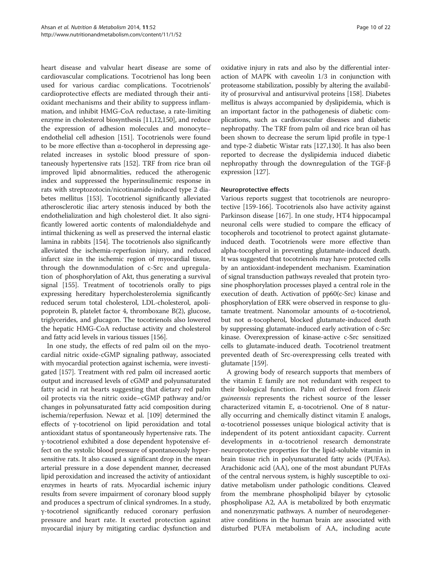heart disease and valvular heart disease are some of cardiovascular complications. Tocotrienol has long been used for various cardiac complications. Tocotrienols' cardioprotective effects are mediated through their antioxidant mechanisms and their ability to suppress inflammation, and inhibit HMG-CoA reductase, a rate-limiting enzyme in cholesterol biosynthesis [[11,12,](#page-16-0)[150](#page-20-0)], and reduce the expression of adhesion molecules and monocyte– endothelial cell adhesion [\[151\]](#page-20-0). Tocotrienols were found to be more effective than α-tocopherol in depressing agerelated increases in systolic blood pressure of spontaneously hypertensive rats [\[152\]](#page-20-0). TRF from rice bran oil improved lipid abnormalities, reduced the atherogenic index and suppressed the hyperinsulinemic response in rats with streptozotocin/nicotinamide-induced type 2 diabetes mellitus [[153](#page-20-0)]. Tocotrienol significantly alleviated atherosclerotic iliac artery stenosis induced by both the endothelialization and high cholesterol diet. It also significantly lowered aortic contents of malondialdehyde and intimal thickening as well as preserved the internal elastic lamina in rabbits [[154](#page-20-0)]. The tocotrienols also significantly alleviated the ischemia-reperfusion injury, and reduced infarct size in the ischemic region of myocardial tissue, through the downmodulation of c-Src and upregulation of phosphorylation of Akt, thus generating a survival signal [\[155](#page-20-0)]. Treatment of tocotrienols orally to pigs expressing hereditary hypercholesterolemia significantly reduced serum total cholesterol, LDL-cholesterol, apolipoprotein B, platelet factor 4, thromboxane B(2), glucose, triglycerides, and glucagon. The tocotrienols also lowered the hepatic HMG-CoA reductase activity and cholesterol and fatty acid levels in various tissues [\[156\]](#page-20-0).

In one study, the effects of red palm oil on the myocardial nitric oxide-cGMP signaling pathway, associated with myocardial protection against ischemia, were investigated [\[157](#page-20-0)]. Treatment with red palm oil increased aortic output and increased levels of cGMP and polyunsaturated fatty acid in rat hearts suggesting that dietary red palm oil protects via the nitric oxide–cGMP pathway and/or changes in polyunsaturated fatty acid composition during ischemia/reperfusion. Newaz et al. [\[109](#page-18-0)] determined the effects of γ-tocotrienol on lipid peroxidation and total antioxidant status of spontaneously hypertensive rats. The γ-tocotrienol exhibited a dose dependent hypotensive effect on the systolic blood pressure of spontaneously hypersensitive rats. It also caused a significant drop in the mean arterial pressure in a dose dependent manner, decreased lipid peroxidation and increased the activity of antioxidant enzymes in hearts of rats. Myocardial ischemic injury results from severe impairment of coronary blood supply and produces a spectrum of clinical syndromes. In a study, γ-tocotrienol significantly reduced coronary perfusion pressure and heart rate. It exerted protection against myocardial injury by mitigating cardiac dysfunction and

oxidative injury in rats and also by the differential interaction of MAPK with caveolin 1/3 in conjunction with proteasome stabilization, possibly by altering the availability of prosurvival and antisurvival proteins [[158](#page-20-0)]. Diabetes mellitus is always accompanied by dyslipidemia, which is an important factor in the pathogenesis of diabetic complications, such as cardiovascular diseases and diabetic nephropathy. The TRF from palm oil and rice bran oil has been shown to decrease the serum lipid profile in type-1 and type-2 diabetic Wistar rats [\[127,130](#page-19-0)]. It has also been reported to decrease the dyslipidemia induced diabetic nephropathy through the downregulation of the TGF-β expression [[127](#page-19-0)].

## Neuroprotective effects

Various reports suggest that tocotrienols are neuroprotective [\[159-166](#page-20-0)]. Tocotrienols also have activity against Parkinson disease [[167](#page-20-0)]. In one study, HT4 hippocampal neuronal cells were studied to compare the efficacy of tocopherols and tocotrienol to protect against glutamateinduced death. Tocotrienols were more effective than alpha-tocopherol in preventing glutamate-induced death. It was suggested that tocotrienols may have protected cells by an antioxidant-independent mechanism. Examination of signal transduction pathways revealed that protein tyrosine phosphorylation processes played a central role in the execution of death. Activation of pp60(c-Src) kinase and phosphorylation of ERK were observed in response to glutamate treatment. Nanomolar amounts of α-tocotrienol, but not α-tocopherol, blocked glutamate-induced death by suppressing glutamate-induced early activation of c-Src kinase. Overexpression of kinase-active c-Src sensitized cells to glutamate-induced death. Tocotrienol treatment prevented death of Src-overexpressing cells treated with glutamate [\[159](#page-20-0)].

A growing body of research supports that members of the vitamin E family are not redundant with respect to their biological function. Palm oil derived from Elaeis guineensis represents the richest source of the lesser characterized vitamin E, α-tocotrienol. One of 8 naturally occurring and chemically distinct vitamin E analogs, α-tocotrienol possesses unique biological activity that is independent of its potent antioxidant capacity. Current developments in α-tocotrienol research demonstrate neuroprotective properties for the lipid-soluble vitamin in brain tissue rich in polyunsaturated fatty acids (PUFAs). Arachidonic acid (AA), one of the most abundant PUFAs of the central nervous system, is highly susceptible to oxidative metabolism under pathologic conditions. Cleaved from the membrane phospholipid bilayer by cytosolic phospholipase A2, AA is metabolized by both enzymatic and nonenzymatic pathways. A number of neurodegenerative conditions in the human brain are associated with disturbed PUFA metabolism of AA, including acute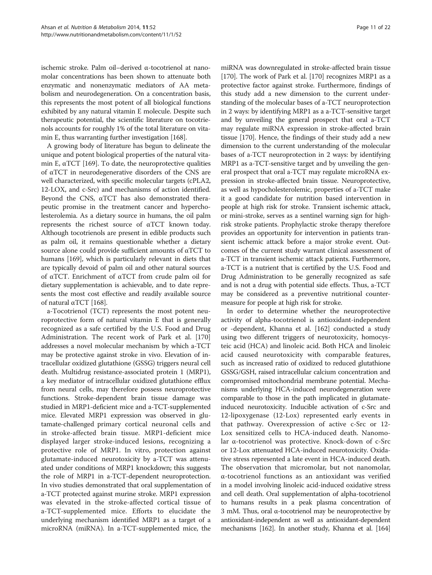ischemic stroke. Palm oil–derived α-tocotrienol at nanomolar concentrations has been shown to attenuate both enzymatic and nonenzymatic mediators of AA metabolism and neurodegeneration. On a concentration basis, this represents the most potent of all biological functions exhibited by any natural vitamin E molecule. Despite such therapeutic potential, the scientific literature on tocotrienols accounts for roughly 1% of the total literature on vitamin E, thus warranting further investigation [\[168\]](#page-20-0).

A growing body of literature has begun to delineate the unique and potent biological properties of the natural vitamin E,  $\alpha$ TCT [[169](#page-20-0)]. To date, the neuroprotective qualities of αTCT in neurodegenerative disorders of the CNS are well characterized, with specific molecular targets (cPLA2, 12-LOX, and c-Src) and mechanisms of action identified. Beyond the CNS, αTCT has also demonstrated therapeutic promise in the treatment cancer and hypercholesterolemia. As a dietary source in humans, the oil palm represents the richest source of αTCT known today. Although tocotrienols are present in edible products such as palm oil, it remains questionable whether a dietary source alone could provide sufficient amounts of  $\alpha TCT$  to humans [\[169\]](#page-20-0), which is particularly relevant in diets that are typically devoid of palm oil and other natural sources of αTCT. Enrichment of αTCT from crude palm oil for dietary supplementation is achievable, and to date represents the most cost effective and readily available source of natural αTCT [[168](#page-20-0)].

a-Tocotrienol (TCT) represents the most potent neuroprotective form of natural vitamin E that is generally recognized as a safe certified by the U.S. Food and Drug Administration. The recent work of Park et al. [[170](#page-20-0)] addresses a novel molecular mechanism by which a-TCT may be protective against stroke in vivo. Elevation of intracellular oxidized glutathione (GSSG) triggers neural cell death. Multidrug resistance-associated protein 1 (MRP1), a key mediator of intracellular oxidized glutathione efflux from neural cells, may therefore possess neuroprotective functions. Stroke-dependent brain tissue damage was studied in MRP1-deficient mice and a-TCT-supplemented mice. Elevated MRP1 expression was observed in glutamate-challenged primary cortical neuronal cells and in stroke-affected brain tissue. MRP1-deficient mice displayed larger stroke-induced lesions, recognizing a protective role of MRP1. In vitro, protection against glutamate-induced neurotoxicity by a-TCT was attenuated under conditions of MRP1 knockdown; this suggests the role of MRP1 in a-TCT-dependent neuroprotection. In vivo studies demonstrated that oral supplementation of a-TCT protected against murine stroke. MRP1 expression was elevated in the stroke-affected cortical tissue of a-TCT-supplemented mice. Efforts to elucidate the underlying mechanism identified MRP1 as a target of a microRNA (miRNA). In a-TCT-supplemented mice, the

miRNA was downregulated in stroke-affected brain tissue [[170](#page-20-0)]. The work of Park et al. [[170](#page-20-0)] recognizes MRP1 as a protective factor against stroke. Furthermore, findings of this study add a new dimension to the current understanding of the molecular bases of a-TCT neuroprotection in 2 ways: by identifying MRP1 as a a-TCT-sensitive target and by unveiling the general prospect that oral a-TCT may regulate miRNA expression in stroke-affected brain tissue [[170](#page-20-0)]. Hence, the findings of their study add a new dimension to the current understanding of the molecular bases of a-TCT neuroprotection in 2 ways: by identifying MRP1 as a-TCT-sensitive target and by unveiling the general prospect that oral a-TCT may regulate microRNA expression in stroke-affected brain tissue. Neuroprotective, as well as hypocholesterolemic, properties of a-TCT make it a good candidate for nutrition based intervention in people at high risk for stroke. Transient ischemic attack, or mini-stroke, serves as a sentinel warning sign for highrisk stroke patients. Prophylactic stroke therapy therefore provides an opportunity for intervention in patients transient ischemic attack before a major stroke event. Outcomes of the current study warrant clinical assessment of a-TCT in transient ischemic attack patients. Furthermore, a-TCT is a nutrient that is certified by the U.S. Food and Drug Administration to be generally recognized as safe and is not a drug with potential side effects. Thus, a-TCT may be considered as a preventive nutritional countermeasure for people at high risk for stroke.

In order to determine whether the neuroprotective activity of alpha-tocotrienol is antioxidant-independent or -dependent, Khanna et al. [\[162\]](#page-20-0) conducted a study using two different triggers of neurotoxicity, homocysteic acid (HCA) and linoleic acid. Both HCA and linoleic acid caused neurotoxicity with comparable features, such as increased ratio of oxidized to reduced glutathione GSSG/GSH, raised intracellular calcium concentration and compromised mitochondrial membrane potential. Mechanisms underlying HCA-induced neurodegeneration were comparable to those in the path implicated in glutamateinduced neurotoxicity. Inducible activation of c-Src and 12-lipoxygenase (12-Lox) represented early events in that pathway. Overexpression of active c-Src or 12- Lox sensitized cells to HCA-induced death. Nanomolar α-tocotrienol was protective. Knock-down of c-Src or 12-Lox attenuated HCA-induced neurotoxicity. Oxidative stress represented a late event in HCA-induced death. The observation that micromolar, but not nanomolar, α-tocotrienol functions as an antioxidant was verified in a model involving linoleic acid-induced oxidative stress and cell death. Oral supplementation of alpha-tocotrienol to humans results in a peak plasma concentration of 3 mM. Thus, oral α-tocotrienol may be neuroprotective by antioxidant-independent as well as antioxidant-dependent mechanisms [[162\]](#page-20-0). In another study, Khanna et al. [\[164](#page-20-0)]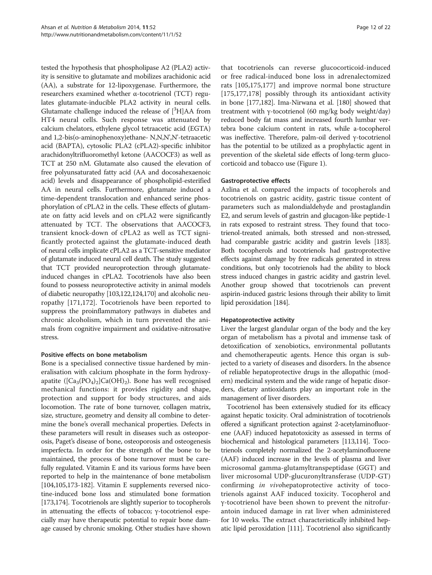tested the hypothesis that phospholipase A2 (PLA2) activity is sensitive to glutamate and mobilizes arachidonic acid (AA), a substrate for 12-lipoxygenase. Furthermore, the researchers examined whether α-tocotrienol (TCT) regulates glutamate-inducible PLA2 activity in neural cells. Glutamate challenge induced the release of  $[^3H]AA$  from HT4 neural cells. Such response was attenuated by calcium chelators, ethylene glycol tetraacetic acid (EGTA) and 1,2-bis(o-aminophenoxy)ethane- N,N,N',N'-tetraacetic acid (BAPTA), cytosolic PLA2 (cPLA2)-specific inhibitor arachidonyltrifluoromethyl ketone (AACOCF3) as well as TCT at 250 nM. Glutamate also caused the elevation of free polyunsaturated fatty acid (AA and docosahexaenoic acid) levels and disappearance of phospholipid-esterified AA in neural cells. Furthermore, glutamate induced a time-dependent translocation and enhanced serine phosphorylation of cPLA2 in the cells. These effects of glutamate on fatty acid levels and on cPLA2 were significantly attenuated by TCT. The observations that AACOCF3, transient knock-down of cPLA2 as well as TCT significantly protected against the glutamate-induced death of neural cells implicate cPLA2 as a TCT-sensitive mediator of glutamate induced neural cell death. The study suggested that TCT provided neuroprotection through glutamateinduced changes in cPLA2. Tocotrienols have also been found to possess neuroprotective activity in animal models of diabetic neuropathy [\[103](#page-18-0)[,122,124](#page-19-0)[,170](#page-20-0)] and alcoholic neuropathy [\[171,172](#page-20-0)]. Tocotrienols have been reported to suppress the proinflammatory pathways in diabetes and chronic alcoholism, which in turn prevented the animals from cognitive impairment and oxidative-nitrosative stress.

## Positive effects on bone metabolism

Bone is a specialised connective tissue hardened by mineralisation with calcium phosphate in the form hydroxyapatite ( $[Ca_3(PO_4)_2]Ca(OH)_2$ ). Bone has well recognised mechanical functions: it provides rigidity and shape, protection and support for body structures, and aids locomotion. The rate of bone turnover, collagen matrix, size, structure, geometry and density all combine to determine the bone's overall mechanical properties. Defects in these parameters will result in diseases such as osteoporosis, Paget's disease of bone, osteoporosis and osteogenesis imperfecta. In order for the strength of the bone to be maintained, the process of bone turnover must be carefully regulated. Vitamin E and its various forms have been reported to help in the maintenance of bone metabolism [[104,105,](#page-18-0)[173](#page-20-0)-[182](#page-20-0)]. Vitamin E supplements reversed nicotine-induced bone loss and stimulated bone formation [[173,174\]](#page-20-0). Tocotrienols are slightly superior to tocopherols in attenuating the effects of tobacco; γ-tocotrienol especially may have therapeutic potential to repair bone damage caused by chronic smoking. Other studies have shown

that tocotrienols can reverse glucocorticoid-induced or free radical-induced bone loss in adrenalectomized rats [[105,](#page-18-0)[175,177](#page-20-0)] and improve normal bone structure [[175,177,178](#page-20-0)] possibly through its antioxidant activity in bone [\[177,182](#page-20-0)]. Ima-Nirwana et al. [\[180\]](#page-20-0) showed that treatment with γ-tocotrienol (60 mg/kg body weight/day) reduced body fat mass and increased fourth lumbar vertebra bone calcium content in rats, while a-tocopherol was ineffective. Therefore, palm-oil derived γ-tocotrienol has the potential to be utilized as a prophylactic agent in prevention of the skeletal side effects of long-term glucocorticoid and tobacco use (Figure [1\)](#page-12-0).

## Gastroprotective effects

Azlina et al. compared the impacts of tocopherols and tocotrienols on gastric acidity, gastric tissue content of parameters such as malondialdehyde and prostaglandin E2, and serum levels of gastrin and glucagon-like peptide-1 in rats exposed to restraint stress. They found that tocotrienol-treated animals, both stressed and non-stressed, had comparable gastric acidity and gastrin levels [\[183](#page-20-0)]. Both tocopherols and tocotrienols had gastroprotective effects against damage by free radicals generated in stress conditions, but only tocotrienols had the ability to block stress induced changes in gastric acidity and gastrin level. Another group showed that tocotrienols can prevent aspirin-induced gastric lesions through their ability to limit lipid peroxidation [\[184\]](#page-20-0).

#### Hepatoprotective activity

Liver the largest glandular organ of the body and the key organ of metabolism has a pivotal and immense task of detoxification of xenobiotics, environmental pollutants and chemotherapeutic agents. Hence this organ is subjected to a variety of diseases and disorders. In the absence of reliable hepatoprotective drugs in the allopathic (modern) medicinal system and the wide range of hepatic disorders, dietary antioxidants play an important role in the management of liver disorders.

Tocotrienol has been extensively studied for its efficacy against hepatic toxicity. Oral administration of tocotrienols offered a significant protection against 2-acetylaminofluorene (AAF) induced hepatotoxicity as assessed in terms of biochemical and histological parameters [[113,114](#page-19-0)]. Tocotrienols completely normalized the 2-acetylaminofluorene (AAF) induced increase in the levels of plasma and liver microsomal gamma-glutamyltranspeptidase (GGT) and liver microsomal UDP-glucuronyltransferase (UDP-GT) confirming in vivohepatoprotective activity of tocotrienols against AAF induced toxicity. Tocopherol and γ-tocotrienol have been shown to prevent the nitrofurantoin induced damage in rat liver when administered for 10 weeks. The extract characteristically inhibited hepatic lipid peroxidation [\[111\]](#page-19-0). Tocotrienol also significantly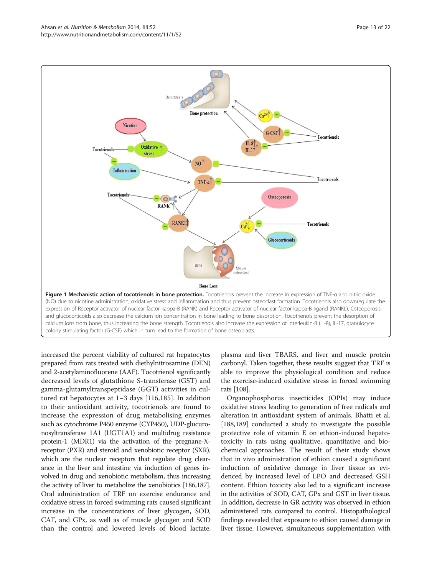<span id="page-12-0"></span>

increased the percent viability of cultured rat hepatocytes prepared from rats treated with diethylnitrosamine (DEN) and 2-acetylaminofluorene (AAF). Tocotrienol significantly decreased levels of glutathione S-transferase (GST) and gamma-glutamyltranspeptidase (GGT) activities in cultured rat hepatocytes at 1–3 days [\[116](#page-19-0),[185\]](#page-20-0). In addition to their antioxidant activity, tocotrienols are found to increase the expression of drug metabolising enzymes such as cytochrome P450 enzyme (CYP450), UDP-glucuronosyltransferase 1A1 (UGT1A1) and multidrug resistance protein-1 (MDR1) via the activation of the pregnane-Xreceptor (PXR) and steroid and xenobiotic receptor (SXR), which are the nuclear receptors that regulate drug clearance in the liver and intestine via induction of genes involved in drug and xenobiotic metabolism, thus increasing the activity of liver to metabolize the xenobiotics [\[186,187](#page-20-0)]. Oral administration of TRF on exercise endurance and oxidative stress in forced swimming rats caused significant increase in the concentrations of liver glycogen, SOD, CAT, and GPx, as well as of muscle glycogen and SOD than the control and lowered levels of blood lactate,

plasma and liver TBARS, and liver and muscle protein carbonyl. Taken together, these results suggest that TRF is able to improve the physiological condition and reduce the exercise-induced oxidative stress in forced swimming rats [\[108\]](#page-18-0).

Organophosphorus insecticides (OPIs) may induce oxidative stress leading to generation of free radicals and alteration in antioxidant system of animals. Bhatti et al. [[188,189](#page-20-0)] conducted a study to investigate the possible protective role of vitamin E on ethion-induced hepatotoxicity in rats using qualitative, quantitative and biochemical approaches. The result of their study shows that in vivo administration of ethion caused a significant induction of oxidative damage in liver tissue as evidenced by increased level of LPO and decreased GSH content. Ethion toxicity also led to a significant increase in the activities of SOD, CAT, GPx and GST in liver tissue. In addition, decrease in GR activity was observed in ethion administered rats compared to control. Histopathological findings revealed that exposure to ethion caused damage in liver tissue. However, simultaneous supplementation with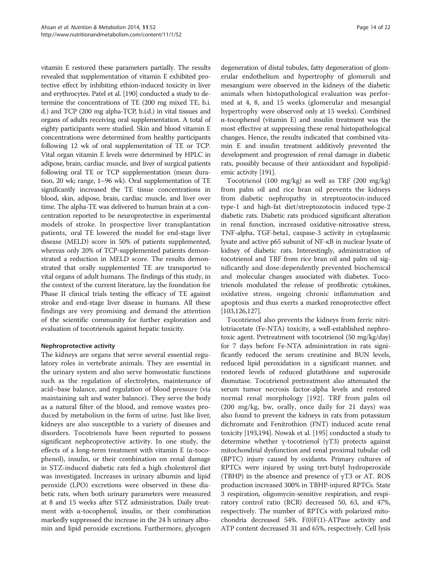vitamin E restored these parameters partially. The results revealed that supplementation of vitamin E exhibited protective effect by inhibiting ethion-induced toxicity in liver and erythrocytes. Patel et al. [[190\]](#page-20-0) conducted a study to determine the concentrations of TE (200 mg mixed TE, b.i. d.) and TCP (200 mg alpha-TCP, b.i.d.) in vital tissues and organs of adults receiving oral supplementation. A total of eighty participants were studied. Skin and blood vitamin E concentrations were determined from healthy participants following 12 wk of oral supplementation of TE or TCP. Vital organ vitamin E levels were determined by HPLC in adipose, brain, cardiac muscle, and liver of surgical patients following oral TE or TCP supplementation (mean duration, 20 wk; range, 1–96 wk). Oral supplementation of TE significantly increased the TE tissue concentrations in blood, skin, adipose, brain, cardiac muscle, and liver over time. The alpha-TE was delivered to human brain at a concentration reported to be neuroprotective in experimental models of stroke. In prospective liver transplantation patients, oral TE lowered the model for end-stage liver disease (MELD) score in 50% of patients supplemented, whereas only 20% of TCP-supplemented patients demonstrated a reduction in MELD score. The results demonstrated that orally supplemented TE are transported to vital organs of adult humans. The findings of this study, in the context of the current literature, lay the foundation for Phase II clinical trials testing the efficacy of TE against stroke and end-stage liver disease in humans. All these findings are very promising and demand the attention of the scientific community for further exploration and evaluation of tocotrienols against hepatic toxicity.

# Nephroprotective activity

The kidneys are organs that serve several essential regulatory roles in vertebrate animals. They are essential in the urinary system and also serve homeostatic functions such as the regulation of electrolytes, maintenance of acid–base balance, and regulation of blood pressure (via maintaining salt and water balance). They serve the body as a natural filter of the blood, and remove wastes produced by metabolism in the form of urine. Just like liver, kidneys are also susceptible to a variety of diseases and disorders. Tocotrienols have been reported to possess significant nephroprotective activity. In one study, the effects of a long-term treatment with vitamin E (α-tocophenol), insulin, or their combination on renal damage in STZ-induced diabetic rats fed a high cholesterol diet was investigated. Increases in urinary albumin and lipid peroxide (LPO) excretions were observed in these diabetic rats, when both urinary parameters were measured at 8 and 15 weeks after STZ administration. Daily treatment with  $\alpha$ -tocophenol, insulin, or their combination markedly suppressed the increase in the 24 h urinary albumin and lipid peroxide excretions. Furthermore, glycogen

degeneration of distal tubules, fatty degeneration of glomerular endothelium and hypertrophy of glomeruli and mesangium were observed in the kidneys of the diabetic animals when histopathological evaluation was performed at 4, 8, and 15 weeks (glomerular and mesangial hypertrophy were observed only at 15 weeks). Combined α-tocophenol (vitamin E) and insulin treatment was the most effective at suppressing these renal histopathological changes. Hence, the results indicated that combined vitamin E and insulin treatment additively prevented the development and progression of renal damage in diabetic rats, possibly because of their antioxidant and hypolipidemic activity [[191](#page-20-0)].

Tocotrienol (100 mg/kg) as well as TRF (200 mg/kg) from palm oil and rice bran oil prevents the kidneys from diabetic nephropathy in streptozotocin-induced type-1 and high-fat diet/streptozotocin induced type-2 diabetic rats. Diabetic rats produced significant alteration in renal function, increased oxidative-nitrosative stress, TNF-alpha, TGF-beta1, caspase-3 activity in cytoplasmic lysate and active p65 subunit of NF-κB in nuclear lysate of kidney of diabetic rats. Interestingly, administration of tocotrienol and TRF from rice bran oil and palm oil significantly and dose-dependently prevented biochemical and molecular changes associated with diabetes. Tocotrienols modulated the release of profibrotic cytokines, oxidative stress, ongoing chronic inflammation and apoptosis and thus exerts a marked renoprotective effect [[103](#page-18-0)[,126,127](#page-19-0)].

Tocotrienol also prevents the kidneys from ferric nitrilotriacetate (Fe-NTA) toxicity, a well-established nephrotoxic agent. Pretreatment with tocotrienol (50 mg/kg/day) for 7 days before Fe-NTA administration in rats significantly reduced the serum creatinine and BUN levels, reduced lipid peroxidation in a significant manner, and restored levels of reduced glutathione and superoxide dismutase. Tocotrienol pretreatment also attenuated the serum tumor necrosis factor-alpha levels and restored normal renal morphology [[192\]](#page-21-0). TRF from palm oil (200 mg/kg, bw, orally, once daily for 21 days) was also found to prevent the kidneys in rats from potassium dichromate and Fenitrothion (FNT) induced acute renal toxicity [\[193,194\]](#page-21-0). Nowak et al. [\[195\]](#page-21-0) conducted a study to determine whether γ-tocotrienol (γT3) protects against mitochondrial dysfunction and renal proximal tubular cell (RPTC) injury caused by oxidants. Primary cultures of RPTCs were injured by using tert-butyl hydroperoxide (TBHP) in the absence and presence of  $\gamma$ T3 or AT. ROS production increased 300% in TBHP-injured RPTCs. State 3 respiration, oligomycin-sensitive respiration, and respiratory control ratio (RCR) decreased 50, 63, and 47%, respectively. The number of RPTCs with polarized mitochondria decreased 54%.  $F(0)F(1)$ -ATPase activity and ATP content decreased 31 and 65%, respectively. Cell lysis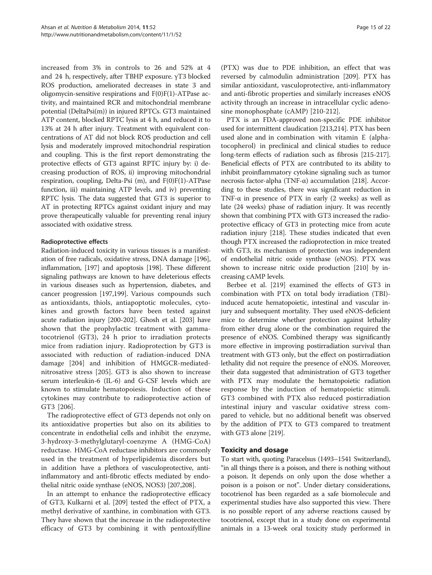increased from 3% in controls to 26 and 52% at 4 and 24 h, respectively, after TBHP exposure. γT3 blocked ROS production, ameliorated decreases in state 3 and oligomycin-sensitive respirations and F(0)F(1)-ATPase activity, and maintained RCR and mitochondrial membrane potential (DeltaPsi(m)) in injured RPTCs. GT3 maintained ATP content, blocked RPTC lysis at 4 h, and reduced it to 13% at 24 h after injury. Treatment with equivalent concentrations of AT did not block ROS production and cell lysis and moderately improved mitochondrial respiration and coupling. This is the first report demonstrating the protective effects of GT3 against RPTC injury by: i) decreasing production of ROS, ii) improving mitochondrial respiration, coupling, Delta-Psi (m), and F(0)F(1)-ATPase function, iii) maintaining ATP levels, and iv) preventing RPTC lysis. The data suggested that GT3 is superior to AT in protecting RPTCs against oxidant injury and may prove therapeutically valuable for preventing renal injury associated with oxidative stress.

# Radioprotective effects

Radiation-induced toxicity in various tissues is a manifestation of free radicals, oxidative stress, DNA damage [[196](#page-21-0)], inflammation, [[197](#page-21-0)] and apoptosis [\[198](#page-21-0)]. These different signaling pathways are known to have deleterious effects in various diseases such as hypertension, diabetes, and cancer progression [\[197,199](#page-21-0)]. Various compounds such as antioxidants, thiols, antiapoptotic molecules, cytokines and growth factors have been tested against acute radiation injury [[200](#page-21-0)-[202](#page-21-0)]. Ghosh et al. [[203](#page-21-0)] have shown that the prophylactic treatment with gammatocotrienol (GT3), 24 h prior to irradiation protects mice from radiation injury. Radioprotection by GT3 is associated with reduction of radiation-induced DNA damage [[204\]](#page-21-0) and inhibition of HMGCR-mediatednitrosative stress [[205\]](#page-21-0). GT3 is also shown to increase serum interleukin-6 (IL-6) and G-CSF levels which are known to stimulate hematopoiesis. Induction of these cytokines may contribute to radioprotective action of GT3 [[206\]](#page-21-0).

The radioprotective effect of GT3 depends not only on its antioxidative properties but also on its abilities to concentrate in endothelial cells and inhibit the enzyme, 3-hydroxy-3-methylglutaryl-coenzyme A (HMG-CoA) reductase. HMG-CoA reductase inhibitors are commonly used in the treatment of hyperlipidemia disorders but in addition have a plethora of vasculoprotective, antiinflammatory and anti-fibrotic effects mediated by endothelial nitric oxide synthase (eNOS, NOS3) [\[207,208](#page-21-0)].

In an attempt to enhance the radioprotective efficacy of GT3, Kulkarni et al. [[209](#page-21-0)] tested the effect of PTX, a methyl derivative of xanthine, in combination with GT3. They have shown that the increase in the radioprotective efficacy of GT3 by combining it with pentoxifylline

(PTX) was due to PDE inhibition, an effect that was reversed by calmodulin administration [\[209](#page-21-0)]. PTX has similar antioxidant, vasculoprotective, anti-inflammatory and anti-fibrotic properties and similarly increases eNOS activity through an increase in intracellular cyclic adenosine monophosphate (cAMP) [\[210-212](#page-21-0)].

PTX is an FDA-approved non-specific PDE inhibitor used for intermittent claudication [\[213,214\]](#page-21-0). PTX has been used alone and in combination with vitamin E (alphatocopherol) in preclinical and clinical studies to reduce long-term effects of radiation such as fibrosis [\[215-217](#page-21-0)]. Beneficial effects of PTX are contributed to its ability to inhibit proinflammatory cytokine signaling such as tumor necrosis factor-alpha (TNF-α) accumulation [[218](#page-21-0)]. According to these studies, there was significant reduction in TNF- $\alpha$  in presence of PTX in early (2 weeks) as well as late (24 weeks) phase of radiation injury. It was recently shown that combining PTX with GT3 increased the radioprotective efficacy of GT3 in protecting mice from acute radiation injury [\[218\]](#page-21-0). These studies indicated that even though PTX increased the radioprotection in mice treated with GT3, its mechanism of protection was independent of endothelial nitric oxide synthase (eNOS). PTX was shown to increase nitric oxide production [[210](#page-21-0)] by increasing cAMP levels.

Berbee et al. [\[219\]](#page-21-0) examined the effects of GT3 in combination with PTX on total body irradiation (TBI) induced acute hematopoietic, intestinal and vascular injury and subsequent mortality. They used eNOS-deficient mice to determine whether protection against lethality from either drug alone or the combination required the presence of eNOS. Combined therapy was significantly more effective in improving postirradiation survival than treatment with GT3 only, but the effect on postirradiation lethality did not require the presence of eNOS. Moreover, their data suggested that administration of GT3 together with PTX may modulate the hematopoietic radiation response by the induction of hematopoietic stimuli. GT3 combined with PTX also reduced postirradiation intestinal injury and vascular oxidative stress compared to vehicle, but no additional benefit was observed by the addition of PTX to GT3 compared to treatment with GT3 alone [\[219\]](#page-21-0).

## Toxicity and dosage

To start with, quoting Paracelsus (1493–1541 Switzerland), "in all things there is a poison, and there is nothing without a poison. It depends on only upon the dose whether a poison is a poison or not". Under dietary considerations, tocotrienol has been regarded as a safe biomolecule and experimental studies have also supported this view. There is no possible report of any adverse reactions caused by tocotrienol, except that in a study done on experimental animals in a 13-week oral toxicity study performed in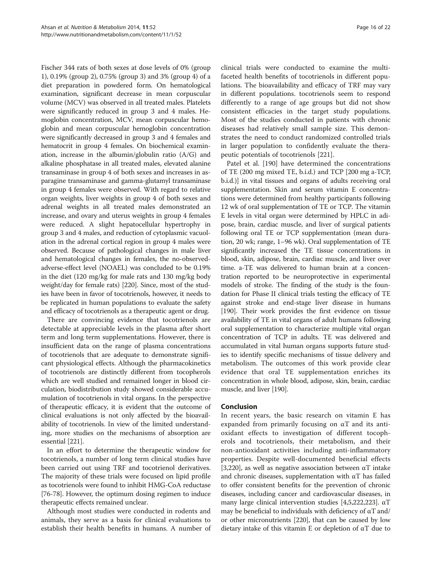Fischer 344 rats of both sexes at dose levels of 0% (group 1), 0.19% (group 2), 0.75% (group 3) and 3% (group 4) of a diet preparation in powdered form. On hematological examination, significant decrease in mean corpuscular volume (MCV) was observed in all treated males. Platelets were significantly reduced in group 3 and 4 males. Hemoglobin concentration, MCV, mean corpuscular hemoglobin and mean corpuscular hemoglobin concentration were significantly decreased in group 3 and 4 females and hematocrit in group 4 females. On biochemical examination, increase in the albumin/globulin ratio (A/G) and alkaline phosphatase in all treated males, elevated alanine transaminase in group 4 of both sexes and increases in asparagine transaminase and gamma-glutamyl transaminase in group 4 females were observed. With regard to relative organ weights, liver weights in group 4 of both sexes and adrenal weights in all treated males demonstrated an increase, and ovary and uterus weights in group 4 females were reduced. A slight hepatocellular hypertrophy in group 3 and 4 males, and reduction of cytoplasmic vacuolation in the adrenal cortical region in group 4 males were observed. Because of pathological changes in male liver and hematological changes in females, the no-observedadverse-effect level (NOAEL) was concluded to be 0.19% in the diet (120 mg/kg for male rats and 130 mg/kg body weight/day for female rats) [\[220\]](#page-21-0). Since, most of the studies have been in favor of tocotrienols, however, it needs to be replicated in human populations to evaluate the safety and efficacy of tocotrienols as a therapeutic agent or drug.

There are convincing evidence that tocotrienols are detectable at appreciable levels in the plasma after short term and long term supplementations. However, there is insufficient data on the range of plasma concentrations of tocotrienols that are adequate to demonstrate significant physiological effects. Although the pharmacokinetics of tocotrienols are distinctly different from tocopherols which are well studied and remained longer in blood circulation, biodistribution study showed considerable accumulation of tocotrienols in vital organs. In the perspective of therapeutic efficacy, it is evident that the outcome of clinical evaluations is not only affected by the bioavailability of tocotrienols. In view of the limited understanding, more studies on the mechanisms of absorption are essential [\[221\]](#page-21-0).

In an effort to determine the therapeutic window for tocotrienols, a number of long term clinical studies have been carried out using TRF and tocotrienol derivatives. The majority of these trials were focused on lipid profile as tocotrienols were found to inhibit HMG-CoA reductase [[76](#page-18-0)-[78\]](#page-18-0). However, the optimum dosing regimen to induce therapeutic effects remained unclear.

Although most studies were conducted in rodents and animals, they serve as a basis for clinical evaluations to establish their health benefits in humans. A number of

clinical trials were conducted to examine the multifaceted health benefits of tocotrienols in different populations. The bioavailability and efficacy of TRF may vary in different populations. tocotrienols seem to respond differently to a range of age groups but did not show consistent efficacies in the target study populations. Most of the studies conducted in patients with chronic diseases had relatively small sample size. This demonstrates the need to conduct randomized controlled trials in larger population to confidently evaluate the therapeutic potentials of tocotrienols [[221\]](#page-21-0).

Patel et al. [\[190\]](#page-20-0) have determined the concentrations of TE (200 mg mixed TE, b.i.d.) and TCP [200 mg a-TCP, b.i.d.)] in vital tissues and organs of adults receiving oral supplementation. Skin and serum vitamin E concentrations were determined from healthy participants following 12 wk of oral supplementation of TE or TCP. The vitamin E levels in vital organ were determined by HPLC in adipose, brain, cardiac muscle, and liver of surgical patients following oral TE or TCP supplementation (mean duration, 20 wk; range, 1–96 wk). Oral supplementation of TE significantly increased the TE tissue concentrations in blood, skin, adipose, brain, cardiac muscle, and liver over time. a-TE was delivered to human brain at a concentration reported to be neuroprotective in experimental models of stroke. The finding of the study is the foundation for Phase II clinical trials testing the efficacy of TE against stroke and end-stage liver disease in humans [[190](#page-20-0)]. Their work provides the first evidence on tissue availability of TE in vital organs of adult humans following oral supplementation to characterize multiple vital organ concentration of TCP in adults. TE was delivered and accumulated in vital human organs supports future studies to identify specific mechanisms of tissue delivery and metabolism. The outcomes of this work provide clear evidence that oral TE supplementation enriches its concentration in whole blood, adipose, skin, brain, cardiac muscle, and liver [[190](#page-20-0)].

# Conclusion

In recent years, the basic research on vitamin E has expanded from primarily focusing on  $\alpha$ T and its antioxidant effects to investigation of different tocopherols and tocotrienols, their metabolism, and their non-antioxidant activities including anti-inflammatory properties. Despite well-documented beneficial effects [[3,](#page-16-0)[220](#page-21-0)], as well as negative association between  $\alpha$ T intake and chronic diseases, supplementation with  $\alpha$ T has failed to offer consistent benefits for the prevention of chronic diseases, including cancer and cardiovascular diseases, in many large clinical intervention studies  $[4,5,222,223]$  $[4,5,222,223]$ . αT may be beneficial to individuals with deficiency of  $\alpha$ T and/ or other micronutrients [\[220](#page-21-0)], that can be caused by low dietary intake of this vitamin E or depletion of αT due to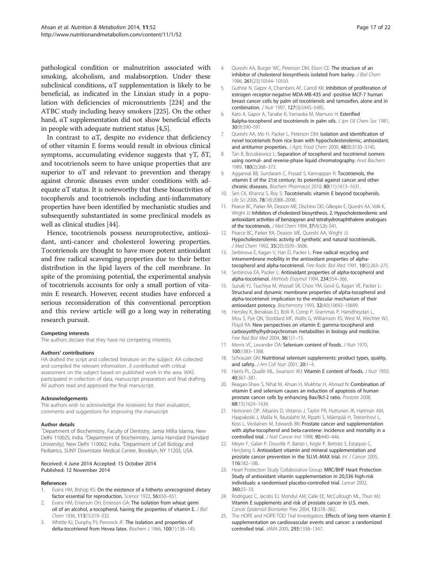<span id="page-16-0"></span>pathological condition or malnutrition associated with smoking, alcoholism, and malabsorption. Under these subclinical conditions, αT supplementation is likely to be beneficial, as indicated in the Linxian study in a population with deficiencies of micronutrients [\[224\]](#page-21-0) and the ATBC study including heavy smokers [[225](#page-21-0)]. On the other hand, αT supplementation did not show beneficial effects in people with adequate nutrient status [4,5].

In contrast to  $\alpha T$ , despite no evidence that deficiency of other vitamin E forms would result in obvious clinical symptoms, accumulating evidence suggests that  $\gamma T$ ,  $\delta T$ , and tocotrienols seem to have unique properties that are superior to  $\alpha$ T and relevant to prevention and therapy against chronic diseases even under conditions with adequate αT status. It is noteworthy that these bioactivities of tocopherols and tocotrienols including anti-inflammatory properties have been identified by mechanistic studies and subsequently substantiated in some preclinical models as well as clinical studies [\[44\]](#page-17-0).

Hence, tocotrienols possess neuroprotective, antioxidant, anti-cancer and cholesterol lowering properties. Tocotrienols are thought to have more potent antioxidant and free radical scavenging properties due to their better distribution in the lipid layers of the cell membrane. In spite of the promising potential, the experimental analysis of tocotrienols accounts for only a small portion of vitamin E research. However, recent studies have enforced a serious reconsideration of this conventional perception and this review article will go a long way in reiterating research pursuit.

#### Competing interests

The authors declare that they have no competing interests.

#### Authors' contributions

HA drafted the script and collected literature on the subject. AA collected and compiled the relevant information. JI contributed with critical assessment on the subject based on published work in the area. WAS participated in collection of data, manuscript preparation and final drafting. All authors read and approved the final manuscript.

#### Acknowledgements

The authors wish to acknowledge the reviewers for their evaluation, comments and suggestions for improving the manuscript

#### Author details

<sup>1</sup>Department of Biochemistry, Faculty of Dentistry, Jamia Millia Islamia, New Delhi 110025, India. <sup>2</sup>Department of Biochemistry, Jamia Hamdard (Hamdard University), New Delhi 110062, India. <sup>3</sup>Department of Cell Biology and Pediatrics, SUNY Downstate Medical Center, Brooklyn, NY 11203, USA.

#### Received: 4 June 2014 Accepted: 15 October 2014 Published: 12 November 2014

#### References

- Evans HM, Bishop KS: On the existence of a hitherto unrecognized dietary factor essential for reproduction. Science 1922, 56:650–651.
- Evans HM, Emerson OH, Emerson GA: The isolation from wheat germ oil of an alcohol, a-tocopherol, having the properties of vitamin E. J Biol Chem 1936, 113(1):319–332.
- 3. Whittle KJ, Dunphy PJ, Pennock JF: The isolation and properties of delta-tocotrienol from Hevea latex. Biochem J 1966, 100(1):138-145.
- 4. Qureshi AA, Burger WC, Peterson DM, Elson CE: The structure of an inhibitor of cholesterol biosynthesis isolated from barley. J Biol Chem 1986, 261(23):10544–10550.
- 5. Guthrie N, Gapor A, Chambers AF, Carroll KK: Inhibition of proliferation of estrogen receptor-negative MDA-MB-435 and -positive MCF-7 human breast cancer cells by palm oil tocotrienols and tamoxifen, alone and in combination. J Nutr 1997, 127(3):544S–548S.
- 6. Kato A, Gapor A, Tanabe K, Yamaoka M, Mamuro H: Esterified &alpha-tocopherol and tocotrienols in palm oils. J Jpn Oil Chem Soc 1981, 30(9):590–591.
- 7. Qureshi AA, Mo H, Packer L, Peterson DM: Isolation and identification of novel tocotrienols from rice bran with hypocholesterolemic, antioxidant, and antitumor properties. J Agric Food Chem 2000, 48(8):3130-3140.
- 8. Tan B, Brzuskiewicz L: Separation of tocopherol and tocotrienol isomers using normal- and reverse-phase liquid chromatography. Anal Biochem 1989, 180(2):368–373.
- 9. Aggarwal BB, Sundaram C, Prasad S, Kannappan R: Tocotrienols, the vitamin E of the 21st century: its potential against cancer and other chronic diseases. Biochem Pharmacol 2010, 80(11):1613–1631.
- 10. Sen CK, Khanna S, Roy S: Tocotrienols: vitamin E beyond tocopherols. Life Sci 2006, 78(18):2088–2098.
- 11. Pearce BC, Parker RA, Deason ME, Dischino DD, Gillespie E, Qureshi AA, Volk K, Wright JJ: Inhibitors of cholesterol biosynthesis. 2. Hypocholesterolemic and antioxidant activities of benzopyran and tetrahydronaphthalene analogues of the tocotrienols. J Med Chem 1994, 37(4):526–541.
- 12. Pearce BC, Parker RA, Deason ME, Qureshi AA, Wright JJ: Hypocholesterolemic activity of synthetic and natural tocotrienols. J Med Chem 1992, 35(20):3595–3606.
- 13. Serbinova E, Kagan V, Han D, Packer L: Free radical recycling and intramembrane mobility in the antioxidant properties of alphatocopherol and alpha-tocotrienol. Free Radic Biol Med 1991, 10(5):263–275.
- 14. Serbinova EA, Packer L: Antioxidant properties of alpha-tocopherol and alpha-tocotrienol. Methods Enzymol 1994, 234:354–366.
- 15. Suzuki YJ, Tsuchiya M, Wassall SR, Choo YM, Govil G, Kagan VE, Packer L: Structural and dynamic membrane properties of alpha-tocopherol and alpha-tocotrienol: implication to the molecular mechanism of their antioxidant potency. Biochemistry 1993, 32(40):10692–10699.
- 16. Hensley K, Benaksas EJ, Bolli R, Comp P, Grammas P, Hamdheydari L, Mou S, Pye QN, Stoddard MF, Wallis G, Williamson KS, West M, Wechter WJ, Floyd RA: New perspectives on vitamin E: gamma-tocopherol and carboxyelthylhydroxychroman metabolites in biology and medicine. Free Rad Biol Med 2004, 36(1):1–15.
- 17. Morris VC, Levander OA: Selenium content of foods. J Nutr 1970, 100:1383–1388.
- 18. Schrauzer GN: Nutritional selenium supplements: product types, quality, and safety. J Am Coll Nutr 2001, 20:1-4.
- 19. Harris PL, Quaife ML, Swanson WJ: Vitamin E content of foods. J Nutr 1950, 40:367–381.
- 20. Reagan-Shaw S, Nihal M, Ahsan H, Mukhtar H, Ahmad N: Combination of vitamin E and selenium causes an induction of apoptosis of human prostate cancer cells by enhancing Bax/Bcl-2 ratio. Prostate 2008, 68(15):1624–1634.
- 21. Heinonen OP, Albanes D, Virtamo J, Taylor PR, Huttunen JK, Hartman AM, Haapakoski J, Malila N, Rautalahti M, Ripatti S, Mäenpää H, Teerenhovi L, Koss L, Virolainen M, Edwards BK: Prostate cancer and supplementation with alpha-tocopherol and beta-carotene: incidence and mortality in a controlled trial. J Natl Cancer Inst 1998, 90:440-446.
- 22. Meyer F, Galan P, Douville P, Bairati I, Kegle P, Bertrais S, Estaquio C, Hercberg S: Antioxidant vitamin and mineral supplementation and prostate cancer prevention in the SU.VI.-MAX trial. Int J Cancer 2005, 116:182–186.
- 23. Heart Protection Study Collaborative Group: MRC/BHF Heart Protection Study of antioxidant vitamin supplementation in 20,536 high-risk individuals: a randomised placebo-controlled trial. Lancet 2002, 360:23–33.
- 24. Rodriguez C, Jacobs EJ, Mondul AM, Calle EE, McCullough ML, Thun MJ: Vitamin E supplements and risk of prostate cancer in U.S. men. Cancer Epidemiol Biomarker Prev 2004, 13:378–382.
- 25. The HOPE and HOPE-TOO Trial Investigators: Effects of long term vitamin E supplementation on cardiovascular events and cancer: a randomized controlled trial. JAMA 2005, 293:1338–1347.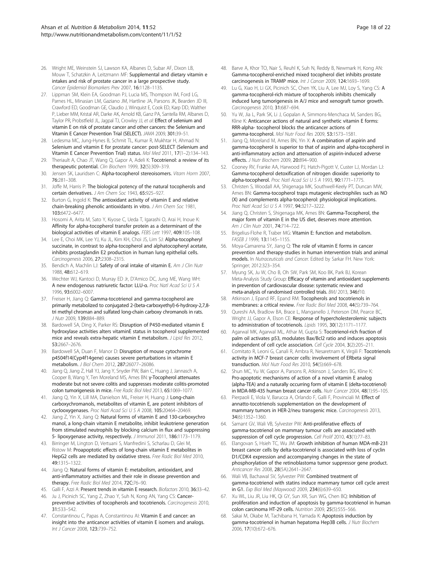- <span id="page-17-0"></span>26. Wright ME, Weinstein SJ, Lawson KA, Albanes D, Subar AF, Dixon LB, Mouw T, Schatzkin A, Leitzmann MF: Supplemental and dietary vitamin e intakes and risk of prostate cancer in a large prospective study. Cancer Epidemiol Biomarkers Prev 2007, 16:1128–1135.
- 27. Lippman SM, Klein EA, Goodman PJ, Lucia MS, Thompson IM, Ford LG, Parnes HL, Minasian LM, Gaziano JM, Hartline JA, Parsons JK, Bearden JD III, Crawford ED, Goodman GE, Claudio J, Winquist E, Cook ED, Karp DD, Walther P, Lieber MM, Kristal AR, Darke AK, Arnold KB, Ganz PA, Santella RM, Albanes D, Taylor PR, Probstfield JL, Jagpal TJ, Crowley JJ, et al: Effect of selenium and vitamin E on risk of prostate cancer and other cancers: the Selenium and Vitamin E Cancer Prevention Trial (SELECT). JAMA 2009, 301:39–51.
- 28. Ledesma MC, Jung-Hynes B, Schmit TL, Kumar R, Mukhtar H, Ahmad N: Selenium and vitamin E for prostate cancer: post-SELECT (Selenium and Vitamin E Cancer Prevention Trial) status. Mol Med 2011, 17(1–2):134–143.
- 29. Theriault A, Chao JT, Wang Q, Gapor A, Adeli K: Tocotrienol: a review of its therapeutic potential. Clin Biochem 1999, 32(5):309–319.
- 30. Jensen SK, Lauridsen C: Alpha-tocopherol stereoisomers. Vitam Horm 2007, 76:281–308.
- 31. Joffe M, Harris P: The biological potency of the natural tocopherols and certain derivatives. J Am Chem Soc 1943, 65:925–927.
- 32. Burton G, Ingold K: The antioxidant activity of vitamin E and relative chain-breaking phenolic antioxidants in vitro. J Am Chem Soc 1981, 103:6472–6477.
- 33. Hosomi A, Arita M, Sato Y, Kiyose C, Ueda T, Igarashi O, Arai H, Inoue K: Affinity for alpha-tocopherol transfer protein as a determinant of the biological activities of vitamin E analogs. FEBS Lett 1997, 409:105–108.
- 34. Lee E, Choi MK, Lee YJ, Ku JL, Kim KH, Choi JS, Lim SJ: Alpha-tocopheryl succinate, in contrast to alpha-tocopherol and alphatocopheryl acetate, inhibits prostaglandin E2 production in human lung epithelial cells. Carcinogenesis 2006, 27:2308–2315.
- 35. Bendich A, Machlin LJ: Safety of oral intake of vitamin E. Am J Clin Nutr 1988, 48:612–619.
- 36. Wechter WJ, Kantoci D, Murray ED Jr, D'Amico DC, Jung ME, Wang WH: A new endogenous natriuretic factor: LLU-α. Proc Natl Acad Sci U S A 1996, 93:6002–6007.
- 37. Freiser H, Jiang Q: Gamma-tocotrienol and gamma-tocopherol are primarily metabolized to conjugated 2-(beta-carboxyethyl)-6-hydroxy-2,7,8 tri methyl chroman and sulfated long-chain carboxy chromanols in rats. J Nutr 2009, 139:884–889.
- 38. Bardowell SA, Ding X, Parker RS: Disruption of P450-mediated vitamin E hydroxylase activities alters vitaminE status in tocopherol supplemented mice and reveals extra-hepatic vitamin E metabolism. J Lipid Res 2012, 53:2667–2676.
- 39. Bardowell SA, Duan F, Manor D: Disruption of mouse cytochrome p4504f14(Cyp4f14gene) causes severe perturbations in vitamin E metabolism. J Biol Chem 2012, 287:26077–26086.
- 40. Jiang Q, Jiang Z, Hall YJ, Jang Y, Snyder PW, Bain C, Huang J, Jannasch A, Cooper B, Wang Y, Ten Moreland MS, Ames BN: γ-Tocopherol attenuates moderate but not severe colitis and suppresses moderate colitis-promoted colon tumorigenesis in mice. Free Radic Biol Med 2013, 65:1069–1077.
- 41. Jiang O, Yin X, Lill MA, Danielson ML, Freiser H, Huang J: Long-chain carboxychromanols, metabolites of vitamin E, are potent inhibitors of cyclooxygenases. Proc Natl Acad Sci U S A 2008, 105:20464–20469.
- 42. Jiang Z, Yin X, Jiang Q: Natural forms of vitamin E and 130-carboxychro manol, a long-chain vitamin E metabolite, inhibit leukotriene generation from stimulated neutrophils by blocking calcium in flux and suppressing 5- lipoxygenase activity, respectively. J Immunol 2011, 186:1173-1179.
- 43. Birringer M, Lington D, Vertuani S, Manfredini S, Scharlau D, Glei M, Ristow M: Proapoptotic effects of long-chain vitamin E metabolites in HepG2 cells are mediated by oxidative stress. Free Radic Biol Med 2010, 49:1315–1322.
- 44. Jiang Q: Natural forms of vitamin E: metabolism, antioxidant, and anti-inflammatory activities and their role in disease prevention and therapy. Free Radic Biol Med 2014, 72C:76–90.
- 45. Galli F, Azzi A: Present trends in vitamin E research. Biofactors 2010, 36:33-42.
- 46. Ju J, Picinich SC, Yang Z, Zhao Y, Suh N, Kong AN, Yang CS: Cancerpreventive activities of tocopherols and tocotrienols. Carcinogenesis 2010, 31:533–542.
- 47. Constantinou C, Papas A, Constantinou AI: Vitamin E and cancer: an insight into the anticancer activities of vitamin E isomers and analogs. Int J Cancer 2008, 123:739–752.
- 48. Barve A, Khor TO, Nair S, Reuhl K, Suh N, Reddy B, Newmark H, Kong AN: Gamma-tocopherol-enriched mixed tocopherol diet inhibits prostate carcinogenesis in TRAMP mice. Int J Cancer 2009, 124:1693–1699.
- 49. Lu G, Xiao H, Li GX, Picinich SC, Chen YK, Liu A, Lee MJ, Loy S, Yang CS: A gamma-tocopherol-rich mixture of tocopherols inhibits chemically induced lung tumorigenesis in A/J mice and xenograft tumor growth. Carcinogenesis 2010, 31:687–694.
- 50. Yu W, Jia L, Park SK, Li J, Gopalan A, Simmons-Menchaca M, Sanders BG, Kline K: Anticancer actions of natural and synthetic vitamin E forms: RRR-alpha- tocopherol blocks the anticancer actions of gamma-tocopherol. Mol Nutr Food Res 2009, 53:1573–1581.
- 51. Jiang O, Moreland M, Ames BN, Yin X: A combination of aspirin and gamma-tocopherol is superior to that of aspirin and alpha-tocopherol in anti-inflammatory action and attenuation of aspirin-induced adverse effects. J Nutr Biochem 2009, 20:894–900.
- 52. Cooney RV, Franke AA, Harwood PJ, Hatch-Pigott V, Custer LJ, Mordan LJ: Gamma-tocopherol detoxification of nitrogen dioxide: superiority to alpha-tocopherol. Proc Natl Acad Sci U S A 1993, 90:1771–1775.
- 53. Christen S, Woodall AA, Shigenaga MK, Southwell-Keely PT, Duncan MW, Ames BN: Gamma-tocopherol traps mutagenic electrophiles such as NO (X) and complements alpha-tocopherol: physiological implications. Proc Natl Acad Sci U S A 1997, 94:3217–3222.
- 54. Jiang O, Christen S, Shigenaga MK, Ames BN: Gamma-Tocopherol, the major form of vitamin E in the US diet, deserves more attention. Am J Clin Nutr 2001, 74:714–722.
- 55. Brigelius-Flohe R, Traber MG: Vitamin E: function and metabolism. FASEB J 1999, 13:1145–1155.
- 56. Moya-Camarena SY, Jiang Q: The role of vitamin E forms in cancer prevention and therapy-studies in human intervention trials and animal models. In Nutraceuticals and Cancer. Edited by Sarkar FH. New York: Springer; 2012:323–354.
- 57. Myung SK, Ju W, Cho B, Oh SW, Park SM, Koo BK, Park BJ, Korean Meta-Analysis Study Group: Efficacy of vitamin and antioxidant supplements in prevention of cardiovascular disease: systematic review and meta-analysis of randomised controlled trials. BMJ 2013, 346:f10.
- 58. Atkinson J, Epand RF, Epand RM: Tocopherols and tocotrienols in membranes: a critical review. Free Radic Biol Med 2008, 44(5):739–764.
- 59. Qureshi AA, Bradlow BA, Brace L, Manganello J, Peterson DM, Pearce BC, Wright JJ, Gapor A, Elson CE: Response of hypercholesterolemic subjects to administration of tocotrienols. Lipids 1995, 30(12):1171–1177.
- Agarwal MK, Agarwal ML, Athar M, Gupta S: Tocotrienol-rich fraction of palm oil activates p53, modulates Bax/Bcl2 ratio and induces apoptosis independent of cell cycle association. Cell Cycle 2004, 3(2):205-211.
- 61. Comitato R, Leoni G, Canali R, Ambra R, Nesaretnam K, Virgili F: Tocotrienols activity in MCF-7 breast cancer cells: involvement of ERbeta signal transduction. Mol Nutr Food Res 2010, 54(5):669–678.
- 62. Shun MC, Yu W, Gapor A, Parsons R, Atkinson J, Sanders BG, Kline K: Pro-apoptotic mechanisms of action of a novel vitamin E analog (alpha-TEA) and a naturally occurring form of vitamin E (delta-tocotrienol) in MDA-MB-435 human breast cancer cells. Nutr Cancer 2004, 48(1):95-105.
- 63. Pierpaoli E, Viola V, Barucca A, Orlando F, Galli F, Provinciali M: Effect of annatto-tocotrienols supplementation on the development of mammary tumors in HER-2/neu transgenic mice. Carcinogenesis 2013, 34(6):1352–1360.
- 64. Samant GV, Wali VB, Sylvester PW: Anti-proliferative effects of gamma-tocotrienol on mammary tumour cells are associated with suppression of cell cycle progression. Cell Prolif 2010, 43(1):77-83.
- 65. Elangovan S, Hsieh TC, Wu JM: Growth inhibition of human MDA-mB-231 breast cancer cells by delta-tocotrienol is associated with loss of cyclin D1/CDK4 expression and accompanying changes in the state of phosphorylation of the retinoblastoma tumor suppressor gene product. Anticancer Res 2008, 28(5A):2641–2647.
- 66. Wali VB, Bachawal SV, Sylvester PW: Combined treatment of gamma-tocotrienol with statins induce mammary tumor cell cycle arrest in G1. Exp Biol Med (Maywood) 2009, 234(6):639–650.
- 67. Xu WL, Liu JR, Liu HK, Qi GY, Sun XR, Sun WG, Chen BQ: Inhibition of proliferation and induction of apoptosis by gamma-tocotrienol in human colon carcinoma HT-29 cells. Nutrition 2009, 25(5):555–566.
- 68. Sakai M, Okabe M, Tachibana H, Yamada K: Apoptosis induction by gamma-tocotrienol in human hepatoma Hep3B cells. J Nutr Biochem 2006, 17(10):672–676.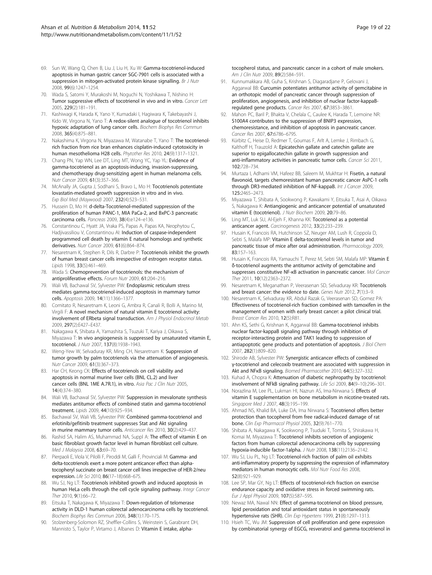- <span id="page-18-0"></span>69. Sun W, Wang Q, Chen B, Liu J, Liu H, Xu W: Gamma-tocotrienol-induced apoptosis in human gastric cancer SGC-7901 cells is associated with a suppression in mitogen-activated protein kinase signalling. Br J Nutr 2008, 99(6):1247–1254.
- 70. Wada S, Satomi Y, Murakoshi M, Noguchi N, Yoshikawa T, Nishino H: Tumor suppressive effects of tocotrienol in vivo and in vitro. Cancer Lett 2005, 229(2):181–191.
- 71. Kashiwagi K, Harada K, Yano Y, Kumadaki I, Hagiwara K, Takebayashi J, Kido W, Virgona N, Yano T: A redox-silent analogue of tocotrienol inhibits hypoxic adaptation of lung cancer cells. Biochem Biophys Res Commun 2008, 365(4):875–881.
- 72. Nakashima K, Virgona N, Miyazawa M, Watanabe T, Yano T: The tocotrienolrich fraction from rice bran enhances cisplatin-induced cytotoxicity in human mesothelioma H28 cells. Phytother Res 2010, 24(9):1317–1321.
- 73. Chang PN, Yap WN, Lee DT, Ling MT, Wong YC, Yap YL: Evidence of gamma-tocotrienol as an apoptosis-inducing, invasion-suppressing, and chemotherapy drug-sensitizing agent in human melanoma cells. Nutr Cancer 2009, 61(3):357–366.
- 74. McAnally JA, Gupta J, Sodhani S, Bravo L, Mo H: Tocotrienols potentiate lovastatin-mediated growth suppression in vitro and in vivo. Exp Biol Med (Maywood) 2007, 232(4):523–531.
- 75. Hussein D, Mo H: d-delta-Tocotrienol-mediated suppression of the proliferation of human PANC-1, MIA PaCa-2, and BxPC-3 pancreatic carcinoma cells. Pancreas 2009, 38(4):e124–e136.
- 76. Constantinou C, Hyatt JA, Vraka PS, Papas A, Papas KA, Neophytou C, Hadjivassiliou V, Constantinou AI: Induction of caspase-independent programmed cell death by vitamin E natural homologs and synthetic derivatives. Nutr Cancer 2009, 61(6):864–874.
- 77. Nesaretnam K, Stephen R, Dils R, Darbre P: Tocotrienols inhibit the growth of human breast cancer cells irrespective of estrogen receptor status. Lipids 1998, 33(5):461–469.
- 78. Wada S: Chemoprevention of tocotrienols: the mechanism of antiproliferative effects. Forum Nutr 2009, 61:204–216.
- 79. Wali VB, Bachawal SV, Sylvester PW: Endoplasmic reticulum stress mediates gamma-tocotrienol-induced apoptosis in mammary tumor cells. Apoptosis 2009, 14(11):1366–1377.
- 80. Comitato R, Nesaretnam K, Leoni G, Ambra R, Canali R, Bolli A, Marino M, Virgili F: A novel mechanism of natural vitamin E tocotrienol activity: involvement of ERbeta signal transduction. Am J Physiol Endocrinol Metab 2009, 297(2):E427–E437.
- 81. Nakagawa K, Shibata A, Yamashita S, Tsuzuki T, Kariya J, Oikawa S, Miyazawa T: In vivo angiogenesis is suppressed by unsaturated vitamin E, tocotrienol. J Nutr 2007, 137(8):1938–1943.
- 82. Weng-Yew W, Selvaduray KR, Ming CH, Nesaretnam K: Suppression of tumor growth by palm tocotrienols via the attenuation of angiogenesis. Nutr Cancer 2009, 61(3):367–373.
- 83. Har CH, Keong CK: Effects of tocotrienols on cell viability and apoptosis in normal murine liver cells (BNL CL.2) and liver cancer cells (BNL 1ME A.7R.1), in vitro. Asia Pac J Clin Nutr 2005, 14(4):374–380.
- 84. Wali VB, Bachawal SV, Sylvester PW: Suppression in mevalonate synthesis mediates antitumor effects of combined statin and gamma-tocotrienol treatment. Lipids 2009, 44(10):925–934.
- 85. Bachawal SV, Wali VB, Sylvester PW: Combined gamma-tocotrienol and erlotinib/gefitinib treatment suppresses Stat and Akt signaling in murine mammary tumor cells. Anticancer Res 2010, 30(2):429–437.
- 86. Rashid SA, Halim AS, Muhammad NA, Suppl A: The effect of vitamin E on basic fibroblast growth factor level in human fibroblast cell culture. Med J Malaysia 2008, 63:69–70.
- 87. Pierpaoli E, Viola V, Pilolli F, Piroddi M, Galli F, Provinciali M: Gamma- and delta-tocotrienols exert a more potent anticancer effect than alphatocopheryl succinate on breast cancer cell lines irrespective of HER-2/neu expression. Life Sci 2010, 86(17–18):668–675.
- 88. Wu SJ, Ng LT: Tocotrienols inhibited growth and induced apoptosis in human HeLa cells through the cell cycle signaling pathway. Integr Cancer Ther 2010, 9(1):66–72.
- 89. Eitsuka T, Nakagawa K, Miyazawa T: Down-regulation of telomerase activity in DLD-1 human colorectal adenocarcinoma cells by tocotrienol. Biochem Biophys Res Commun 2006, 348(1):170–175.
- 90. Stolzenberg-Solomon RZ, Sheffler-Collins S, Weinstein S, Garabrant DH, Mannisto S, Taylor P, Virtamo J, Albanes D: Vitamin E intake, alpha-

tocopherol status, and pancreatic cancer in a cohort of male smokers. Am J Clin Nutr 2009, 89(2):584–591.

- 91. Kunnumakkara AB, Guha S, Krishnan S, Diagaradjane P, Gelovani J, Aggarwal BB: Curcumin potentiates antitumor activity of gemcitabine in an orthotopic model of pancreatic cancer through suppression of proliferation, angiogenesis, and inhibition of nuclear factor-kappaBregulated gene products. Cancer Res 2007, 67:3853–3861.
- 92. Mahon PC, Baril P, Bhakta V, Chelala C, Caulee K, Harada T, Lemoine NR: S100A4 contributes to the suppression of BNIP3 expression, chemoresistance, and inhibition of apoptosis in pancreatic cancer. Cancer Res 2007, 67:6786–6795.
- 93. Kürbitz C, Heise D, Redmer T, Goumas F, Arlt A, Lemke J, Rimbach G, Kalthoff H, Trauzold A: Epicatechin gallate and catechin gallate are superior to epigallocatechin gallate in growth suppression and anti-inflammatory activities in pancreatic tumor cells. Cancer Sci 2011, 102:728–734.
- 94. Murtaza I, Adhami VM, Hafeez BB, Saleem M, Mukhtar H: Fisetin, a natural flavonoid, targets chemoresistant human pancreatic cancer AsPC-1 cells through DR3-mediated inhibition of NF-kappaB. Int J Cancer 2009, 125:2465–2473.
- 95. Miyazawa T, Shibata A, Sookwong P, Kawakami Y, Eitsuka T, Asai A, Oikawa S, Nakagawa K: Antiangiogenic and anticancer potential of unsaturated vitamin E (tocotrienol). J Nutr Biochem 2009, 20:79-86.
- 96. Ling MT, Luk SU, Al-Ejeh F, Khanna KK: Tocotrienol as a potential anticancer agent. Carcinogenesis 2012, 33(2):233–239.
- 97. Husain K, Francois RA, Hutchinson SZ, Neuger AM, Lush R, Coppola D, Sebti S, Malafa MP: Vitamin E delta-tocotrienol levels in tumor and pancreatic tissue of mice after oral administration. Pharmacology 2009, 83:157–163.
- 98. Husain K, Francois RA, Yamauchi T, Perez M, Sebti SM, Malafa MP: Vitamin E δ-tocotrienol augments the antitumor activity of gemcitabine and suppresses constitutive NF-κB activation in pancreatic cancer. Mol Cancer Ther 2011, 10(12):2363–2372.
- 99. Nesaretnam K, Meganathan P, Veerasenan SD, Selvaduray KR: Tocotrienols and breast cancer: the evidence to date. Genes Nutr 2012, 7(1):3–9.
- 100. Nesaretnam K, Selvaduray KR, Abdul Razak G, Veerasenan SD, Gomez PA: Effectiveness of tocotrienol-rich fraction combined with tamoxifen in the management of women with early breast cancer: a pilot clinical trial. Breast Cancer Res 2010, 12(5):R81.
- 101. Ahn KS, Sethi G, Krishnan K, Aggarwal BB: Gamma-tocotrienol inhibits nuclear factor-kappaB signaling pathway through inhibition of receptor-interacting protein and TAK1 leading to suppression of antiapoptotic gene products and potentiation of apoptosis. J Biol Chem 2007, 282(1):809–820.
- 102. Shirode AB, Sylvester PW: Synergistic anticancer effects of combined γ-tocotrienol and celecoxib treatment are associated with suppression in Akt and NFκB signaling. Biomed Pharmacother 2010, 64(5):327–332.
- 103. Kuhad A, Chopra K: Attenuation of diabetic nephropathy by tocotrienol: involvement of NFkB signaling pathway. Life Sci 2009, 84(9–10):296–301.
- 104. Norazlina M, Lee PL, Lukman HI, Nazrun AS, Ima-Nirwana S: Effects of vitamin E supplementation on bone metabolism in nicotine-treated rats. Singapore Med J 2007, 48(3):195-199.
- 105. Ahmad NS, Khalid BA, Luke DA, Ima Nirwana S: Tocotrienol offers better protection than tocopherol from free radical-induced damage of rat bone. Clin Exp Pharmacol Physiol 2005, 32(9):761–770.
- 106. Shibata A, Nakagawa K, Sookwong P, Tsuduki T, Tomita S, Shirakawa H, Komai M, Miyazawa T: Tocotrienol inhibits secretion of angiogenic factors from human colorectal adenocarcinoma cells by suppressing hypoxia-inducible factor-1alpha. J Nutr 2008, 138(11):2136–2142.
- 107. Wu SJ, Liu PL, Ng LT: Tocotrienol-rich fraction of palm oil exhibits anti-inflammatory property by suppressing the expression of inflammatory mediators in human monocytic cells. Mol Nutr Food Res 2008, 52(8):921–929.
- 108. Lee SP, Mar GY, Ng LT: Effects of tocotrienol-rich fraction on exercise endurance capacity and oxidative stress in forced swimming rats. Eur J Appl Physiol 2009, 107(5):587–595.
- 109. Newaz MA, Nawal NN: Effect of gamma-tocotrienol on blood pressure, lipid peroxidation and total antioxidant status in spontaneously hypertensive rats (SHR). Clin Exp Hypertens 1999, 21(8):1297–1313.
- 110. Hsieh TC, Wu JM: Suppression of cell proliferation and gene expression by combinatorial synergy of EGCG, resveratrol and gamma-tocotrienol in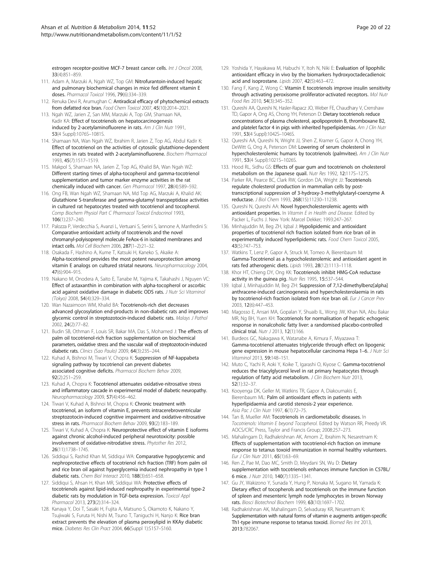<span id="page-19-0"></span>estrogen receptor-positive MCF-7 breast cancer cells. Int J Oncol 2008, 33(4):851–859.

- 111. Adam A, Marzuki A, Ngah WZ, Top GM: Nitrofurantoin-induced hepatic and pulmonary biochemical changes in mice fed different vitamin E doses. Pharmacol Toxicol 1996, 79(6):334–339.
- 112. Renuka Devi R, Arumughan C: Antiradical efficacy of phytochemical extracts from defatted rice bran. Food Chem Toxicol 2007, 45(10):2014–2021.
- 113. Ngah WZ, Jarien Z, San MM, Marzuki A, Top GM, Shamaan NA, Kadir KA: Effect of tocotrienols on hepatocarcinogenesis induced by 2-acetylaminofluorene in rats. Am J Clin Nutr 1991, 53(4 Suppl):1076S–1081S.
- 114. Shamaan NA, Wan Ngah WZ, Ibrahim R, Jarien Z, Top AG, Abdul Kadir K: Effect of tocotrienol on the activities of cytosolic glutathione-dependent enzymes in rats treated with 2-acetylaminofluorene. Biochem Pharmacol 1993, 45(7):1517–1519.
- 115. Makpol S, Shamaan NA, Jarien Z, Top AG, Khalid BA, Wan Ngah WZ: Different starting times of alpha-tocopherol and gamma-tocotrienol supplementation and tumor marker enzyme activities in the rat chemically induced with cancer. Gen Pharmacol 1997, 28(4):589–592.
- 116. Ong FB, Wan Ngah WZ, Shamaan NA, Md Top AG, Marzuki A, Khalid AK: Glutathione S-transferase and gamma-glutamyl transpeptidase activities in cultured rat hepatocytes treated with tocotrienol and tocopherol. Comp Biochem Physiol Part C Pharmacol Toxicol Endocrinol 1993, 106(1):237–240.
- 117. Palozza P, Verdecchia S, Avanzi L, Vertuani S, Serini S, Iannone A, Manfredini S: Comparative antioxidant activity of tocotrienols and the novel chromanyl-polyisoprenyl molecule FeAox-6 in isolated membranes and intact cells. Mol Cell Biochem 2006, 287(1–2):21–32.
- 118. Osakada F, Hashino A, Kume T, Katsuki H, Kaneko S, Akaike A: Alpha-tocotrienol provides the most potent neuroprotection among vitamin E analogs on cultured striatal neurons. Neuropharmacology 2004, 47(6):904–915.
- 119. Nakano M, Onodera A, Saito E, Tanabe M, Yajima K, Takahashi J, Nguyen VC: Effect of astaxanthin in combination with alpha-tocopherol or ascorbic acid against oxidative damage in diabetic ODS rats. J Nutr Sci Vitaminol (Tokyo) 2008, 54(4):329–334.
- 120. Wan Nazaimoon WM, Khalid BA: Tocotrienols-rich diet decreases advanced glycosylation end-products in non-diabetic rats and improves glycemic control in streptozotocin-induced diabetic rats. Malays J Pathol 2002, 24(2):77–82.
- 121. Budin SB, Othman F, Louis SR, Bakar MA, Das S, Mohamed J: The effects of palm oil tocotrienol-rich fraction supplementation on biochemical parameters, oxidative stress and the vascular wall of streptozotocin-induced diabetic rats. Clinics (Sao Paulo) 2009, 64(3):235–244.
- 122. Kuhad A, Bishnoi M, Tiwari V, Chopra K: Suppression of NF-kappabeta signaling pathway by tocotrienol can prevent diabetes associated cognitive deficits. Pharmacol Biochem Behav 2009, 92(2):251–259.
- 123. Kuhad A, Chopra K: Tocotrienol attenuates oxidative-nitrosative stress and inflammatory cascade in experimental model of diabetic neuropathy. Neuropharmacology 2009, 57(4):456–462.
- 124. Tiwari V, Kuhad A, Bishnoi M, Chopra K: Chronic treatment with tocotrienol, an isoform of vitamin E, prevents intracerebroventricular streptozotocin-induced cognitive impairment and oxidative-nitrosative stress in rats. Pharmacol Biochem Behav 2009, 93(2):183–189.
- 125. Tiwari V, Kuhad A, Chopra K: Neuroprotective effect of vitamin E isoforms against chronic alcohol-induced peripheral neurotoxicity: possible involvement of oxidative-nitrodative stress. Phytother Res 2012, 26(11):1738–1745.
- 126. Siddiqui S, Rashid Khan M, Siddiqui WA: Comparative hypoglycemic and nephroprotective effects of tocotrienol rich fraction (TRF) from palm oil and rice bran oil against hyperglycemia induced nephropathy in type 1 diabetic rats. Chem Biol Interact 2010, 188(3):651–658.
- 127. Siddiqui S, Ahsan H, Khan MR, Siddiqui WA: Protective effects of tocotrienols against lipid-induced nephropathy in experimental type-2 diabetic rats by modulation in TGF-beta expression. Toxicol Appl Pharmacol 2013, 273(2):314–324.
- 128. Kanaya Y, Doi T, Sasaki H, Fujita A, Matsuno S, Okamoto K, Nakano Y, Tsujiwaki S, Furuta H, Nishi M, Tsuno T, Taniguchi H, Nanjo K: Rice bran extract prevents the elevation of plasma peroxylipid in KKAy diabetic mice. Diabetes Res Clin Pract 2004, 66(Suppl 1):S157–S160.
- 129. Yoshida Y, Hayakawa M, Habuchi Y, Itoh N, Niki E: Evaluation of lipophilic antioxidant efficacy in vivo by the biomarkers hydroxyoctadecadienoic acid and isoprostane. Lipids 2007, 42(5):463–472.
- 130. Fang F, Kang Z, Wong C: Vitamin E tocotrienols improve insulin sensitivity through activating peroxisome proliferator-activated receptors. Mol Nutr Food Res 2010, 54(3):345–352.
- 131. Qureshi AA, Qureshi N, Hasler-Rapacz JO, Weber FE, Chaudhary V, Crenshaw TD, Gapor A, Ong AS, Chong YH, Peterson D: Dietary tocotrienols reduce concentrations of plasma cholesterol, apolipoprotein B, thromboxane B2, and platelet factor 4 in pigs with inherited hyperlipidemias. Am J Clin Nutr 1991, 53(4 Suppl):1042S–1046S.
- 132. Qureshi AA, Qureshi N, Wright JJ, Shen Z, Kramer G, Gapor A, Chong YH, DeWitt G, Ong A, Peterson DM: Lowering of serum cholesterol in hypercholesterolemic humans by tocotrienols (palmvitee). Am J Clin Nutr 1991, 53(4 Suppl):1021S–1026S.
- 133. Hood RL, Sidhu GS: Effects of guar gum and tocotrienols on cholesterol metabolism on the Japanese quail. Nutr Res 1992, 12:117S–127S.
- 134. Parker RA, Pearce BC, Clark RW, Gordon DA, Wright JJ: Tocotrienols regulate cholesterol production in mammalian cells by posttranscriptional suppression of 3-hydroxy-3-methylglutaryl-coenzyme A reductase. J Biol Chem 1993, 268(15):11230–11238.
- 135. Qureshi N, Qureshi AA: Novel hypercholesterolemic agents with antioxidant properties. In Vitamin E in Health and Disease. Edited by Packer L, Fuchs J. New York: Marcel Dekker; 1993:247–267.
- 136. Minhajuddin M, Beg ZH, Igbal J: Hypolipidemic and antioxidant properties of tocotrienol rich fraction isolated from rice bran oil in experimentally induced hyperlipidemic rats. Food Chem Toxicol 2005, 43(5):747–753.
- 137. Watkins T, Lenz P, Gapor A, Struck M, Tomeo A, Bierenbaum M: Gamma-Tocotrienol as a hypocholesterolemic and antioxidant agent in rats fed atherogenic diets. Lipids 1993, 28(12):1113–1118.
- 138. Khor HT, Chieng DY, Ong KK: Tocotrienols inhibit HMG-CoA reductase activity in the guinea pig. Nutr Res 1995, 15:537-544.
- 139. Iqbal J, Minhajuddin M, Beg ZH: Suppression of 7,12-dimethylbenz[alpha] anthracene-induced carcinogenesis and hypercholesterolaemia in rats by tocotrienol-rich fraction isolated from rice bran oil. Eur J Cancer Prev 2003, 12(6):447–453.
- 140. Magosso E, Ansari MA, Gopalan Y, Shuaib IL, Wong JW, Khan NA, Abu Bakar MR, Ng BH, Yuen KH: Tocotrienols for normalisation of hepatic echogenic response in nonalcoholic fatty liver: a randomised placebo-controlled clinical trial. Nutr J 2013, 12(1):166.
- 141. Burdeos GC, Nakagawa K, Watanabe A, Kimura F, Miyazawa T: Gamma-tocotrienol attenuates triglyceride through effect on lipogenic gene expression in mouse hepatocellular carcinoma Hepa 1–6. J Nutr Sci Vitaminol 2013, 59:148–151.
- 142. Muto C, Yachi R, Aoki Y, Koike T, Igarashi O, Kiyose C: Gamma-tocotrienol reduces the triacylglycerol level in rat primary hepatocytes through regulation of fatty acid metabolism. J Clin Biochem Nutr 2013, 52(1):32–37.
- 143. Kooyenga DK, Geller M, Watkins TR, Gapor A, Diakoumakis E, Bierenbaum ML: Palm oil antioxidant effects in patients with hyperlipidaemia and carotid stenosis-2 year experience. Asia Pac J Clin Nutr 1997, 6(1):72–75.
- 144. Tan B, Mueller AM: Tocotrienols in cardiometabolic diseases. In Tocotrienols: Vitamin E beyond Tocopherol. Edited by Watson RR, Preedy VR. AOCS/CRC Press, Taylor and Francis Group; 2008:257–273.
- 145. Mahalingam D, Radhakrishnan AK, Amom Z, Ibrahim N, Nesaretnam K: Effects of supplementation with tocotrienol-rich fraction on immune response to tetanus toxoid immunization in normal healthy volunteers. Eur J Clin Nutr 2011, 65(1):63–69.
- 146. Ren Z, Pae M, Dao MC, Smith D, Meydani SN, Wu D: Dietary supplementation with tocotrienols enhances immune function in C57BL/ 6 mice. J Nutr 2010, 140(7):1335–1341.
- 147. Gu JY, Wakizono Y, Sunada Y, Hung P, Nonaka M, Sugano M, Yamada K: Dietary effect of tocopherols and tocotrienols on the immune function of spleen and mesenteric lymph node lymphocytes in brown Norway rats. Biosci Biotechnol Biochem 1999, 63(10):1697–1702.
- 148. Radhakrishnan AK, Mahalingam D, Selvaduray KR, Nesaretnam K: Supplementation with natural forms of vitamin e augments antigen-specific Th1-type immune response to tetanus toxoid. Biomed Res Int 2013, 2013:782067.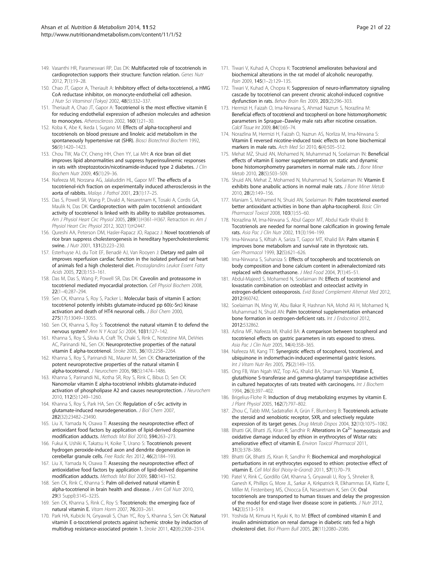- <span id="page-20-0"></span>149. Vasanthi HR, Parameswari RP, Das DK: Multifaceted role of tocotrienols in cardioprotection supports their structure: function relation. Genes Nutr 2012, 7(1):19–28.
- 150. Chao JT, Gapor A, Theriault A: Inhibitory effect of delta-tocotrienol, a HMG CoA reductase inhibitor, on monocyte-endothelial cell adhesion. J Nutr Sci Vitaminol (Tokyo) 2002, 48(5):332–337.
- 151. Theriault A, Chao JT, Gapor A: Tocotrienol is the most effective vitamin E for reducing endothelial expression of adhesion molecules and adhesion to monocytes. Atherosclerosis 2002, 160(1):21–30.
- 152. Koba K, Abe K, Ikeda I, Sugano M: Effects of alpha-tocopherol and tocotrienols on blood pressure and linoleic acid metabolism in the spontaneously hypertensive rat (SHR). Biosci Biotechnol Biochem 1992, 56(9):1420–1423.
- 153. Chou TW, Ma CY, Cheng HH, Chen YY, Lai MH: A rice bran oil diet improves lipid abnormalities and suppress hyperinsulinemic responses in rats with streptozotocin/nicotinamide-induced type 2 diabetes. J Clin Biochem Nutr 2009, 45(1):29–36.
- 154. Nafeeza MI, Norzana AG, Jalaluddin HL, Gapor MT: The effects of a tocotrienol-rich fraction on experimentally induced atherosclerosis in the aorta of rabbits. Malays J Pathol 2001, 23(1):17–25.
- 155. Das S, Powell SR, Wang P, Divald A, Nesaretnam K, Tosaki A, Cordis GA, Maulik N, Das DK: Cardioprotection with palm tocotrienol: antioxidant activity of tocotrienol is linked with its ability to stabilize proteasomes. Am J Physiol Heart Circ Physiol 2005, 289(1):H361-H367. Retraction in: Am J Physiol Heart Circ Physiol 2012, 302(11):H2447.
- 156. Qureshi AA, Peterson DM, Hasler-Rapacz JO, Rapacz J: Novel tocotrienols of rice bran suppress cholesterogenesis in hereditary hypercholesterolemic swine. J Nutr 2001, 131(2):223–230.
- 157. Esterhuyse AJ, du Toit EF, Benadè AJ, Van Rooyen J: Dietary red palm oil improves reperfusion cardiac function in the isolated perfused rat heart of animals fed a high cholesterol diet. Prostaglandins Leukot Essent Fatty Acids 2005, 72(3):153–161.
- 158. Das M, Das S, Wang P, Powell SR, Das DK: Caveolin and proteasome in tocotrienol mediated myocardial protection. Cell Physiol Biochem 2008, 22(1–4):287–294.
- 159. Sen CK, Khanna S, Roy S, Packer L: Molecular basis of vitamin E action: tocotrienol potently inhibits glutamate-induced pp 60(c-Src) kinase activation and death of HT4 neuronal cells. J Biol Chem 2000, 275(17):13049–13055.
- 160. Sen CK, Khanna S, Roy S: Tocotrienol: the natural vitamin E to defend the nervous system? Ann N Y Acad Sci 2004, 1031:127–142.
- 161. Khanna S, Roy S, Slivka A, Craft TK, Chaki S, Rink C, Notestine MA, DeVries AC, Parinandi NL, Sen CK: Neuroprotective properties of the natural vitamin E alpha-tocotrienol. Stroke 2005, 36(10):2258–2264.
- 162. Khanna S, Roy S, Parinandi NL, Maurer M, Sen CK: Characterization of the potent neuroprotective properties of the natural vitamin E alpha-tocotrienol. J Neurochem 2006, 98(5):1474–1486.
- 163. Khanna S, Parinandi NL, Kotha SR, Roy S, Rink C, Bibus D, Sen CK: Nanomolar vitamin E alpha-tocotrienol inhibits glutamate-induced activation of phospholipase A2 and causes neuroprotection. *J Neurochem* 2010, 112(5):1249–1260.
- 164. Khanna S, Roy S, Park HA, Sen CK: Regulation of c-Src activity in glutamate-induced neurodegeneration. J Biol Chem 2007, 282(32):23482–23490.
- 165. Liu X, Yamada N, Osawa T: Assessing the neuroprotective effect of antioxidant food factors by application of lipid-derived dopamine modification adducts. Methods Mol Biol 2010, 594:263–273.
- 166. Fukui K, Ushiki K, Takatsu H, Koike T, Urano S: Tocotrienols prevent hydrogen peroxide-induced axon and dendrite degeneration in cerebellar granule cells. Free Radic Res 2012, 46(2):184–193.
- 167. Liu X, Yamada N, Osawa T: Assessing the neuroprotective effect of antioxidative food factors by application of lipid-derived dopamine modification adducts. Methods Mol Biol 2009, 580:143–152.
- 168. Sen CK, Rink C, Khanna S: Palm oil-derived natural vitamin E alpha-tocotrienol in brain health and disease. J Am Coll Nutr 2010, 29(3 Suppl):314S–323S.
- 169. Sen CK, Khanna S, Rink C, Roy S: Tocotrienols: the emerging face of natural vitamin E. Vitam Horm 2007, 76:203–261.
- 170. Park HA, Kubicki N, Gnyawali S, Chan YC, Roy S, Khanna S, Sen CK: Natural vitamin E α-tocotrienol protects against ischemic stroke by induction of multidrug resistance-associated protein 1. Stroke 2011, 42(8):2308–2314.
- 171. Tiwari V, Kuhad A, Chopra K: Tocotrienol ameliorates behavioral and biochemical alterations in the rat model of alcoholic neuropathy. Pain 2009, 145(1-2):129-135.
- 172. Tiwari V, Kuhad A, Chopra K: Suppression of neuro-inflammatory signaling cascade by tocotrienol can prevent chronic alcohol-induced cognitive dysfunction in rats. Behav Brain Res 2009, 203(2):296–303.
- 173. Hermizi H, Faizah O, Ima-Nirwana S, Ahmad Nazrun S, Norazlina M: Beneficial effects of tocotrienol and tocopherol on bone histomorphometric parameters in Sprague–Dawley male rats after nicotine cessation. Calcif Tissue Int 2009, 84(1):65–74.
- 174. Norazlina M, Hermizi H, Faizah O, Nazrun AS, Norliza M, Ima-Nirwana S: Vitamin E reversed nicotine-induced toxic effects on bone biochemical markers in male rats. Arch Med Sci 2010, 6(4):505–512.
- 175. Mehat MZ, Shuid AN, Mohamed N, Muhammad N, Soelaiman IN: Beneficial effects of vitamin E isomer supplementation on static and dynamic bone histomorphometry parameters in normal male rats. *J Bone Miner* Metab 2010, 28(5):503–509.
- 176. Shuid AN, Mehat Z, Mohamed N, Muhammad N, Soelaiman IN: Vitamin E exhibits bone anabolic actions in normal male rats. *J Bone Miner Metab* 2010, 28(2):149–156.
- 177. Maniam S, Mohamed N, Shuid AN, Soelaiman IN: Palm tocotrienol exerted better antioxidant activities in bone than alpha-tocopherol. Basic Clin Pharmacol Toxicol 2008, 103(1):55–60.
- 178. Norazlina M, Ima-Nirwana S, Abul Gapor MT, Abdul Kadir Khalid B: Tocotrienols are needed for normal bone calcification in growing female rats. Asia Pac J Clin Nutr 2002, 11(3):194–199.
- 179. Ima-Nirwana S, Kiftiah A, Sariza T, Gapor MT, Khalid BA: Palm vitamin E improves bone metabolism and survival rate in thyrotoxic rats. Gen Pharmacol 1999, 32(5):621-626.
- 180. Ima-Nirwana S, Suhaniza S: Effects of tocopherols and tocotrienols on body composition and bone calcium content in adrenalectomized rats replaced with dexamethasone. J Med Food 2004, 7(1):45–51.
- 181. Abdul-Majeed S, Mohamed N, Soelaiman IN: Effects of tocotrienol and lovastatin combination on osteoblast and osteoclast activity in estrogen-deficient osteoporosis. Evid Based Complement Alternat Med 2012, 2012:960742.
- 182. Soelaiman IN, Ming W, Abu Bakar R, Hashnan NA, Mohd Ali H, Mohamed N, Muhammad N, Shuid AN: Palm tocotrienol supplementation enhanced bone formation in oestrogen-deficient rats. Int J Endocrinol 2012, 2012:532862.
- 183. Azlina MF, Nafeeza MI, Khalid BA: A comparison between tocopherol and tocotrienol effects on gastric parameters in rats exposed to stress. Asia Pac J Clin Nutr 2005, 14(4):358–365.
- 184. Nafeeza MI, Kang TT: Synergistic effects of tocopherol, tocotrienol, and ubiquinone in indomethacin-induced experimental gastric lesions. Int J Vitam Nutr Res 2005, 75(2):149–155.
- 185. Ong FB, Wan Ngah WZ, Top AG, Khalid BA, Shamaan NA: Vitamin E, glutathione S-transferase and gamma-glutamyl transpeptidase activities in cultured hepatocytes of rats treated with carcinogens. Int J Biochem 1994, 26(3):397–402.
- 186. Brigelius-Flohe R: Induction of drug metabolizing enzymes by vitamin E. J Plant Physiol 2005, 162(7):797–802.
- 187. Zhou C, Tabb MM, Sadatrafiei A, Grün F, Blumberg B: Tocotrienols activate the steroid and xenobiotic receptor, SXR, and selectively regulate expression of its target genes. Drug Metab Dispos 2004, 32(10):1075–1082.
- 188. Bhatti GK, Bhatti JS, Kiran R, Sandhir R: Alterations in Ca<sup>2+</sup> homeostasis and oxidative damage induced by ethion in erythrocytes of Wistar rats: ameliorative effect of vitamin E. Environ Toxicol Pharmacol 2011, 31(3):378–386.
- 189. Bhatti GK, Bhatti JS, Kiran R, Sandhir R: Biochemical and morphological perturbations in rat erythrocytes exposed to ethion: protective effect of vitamin E. Cell Mol Biol (Noisy-le-Grand) 2011, 57(1):70–79.
- 190. Patel V, Rink C, Gordillo GM, Khanna S, Gnyawali U, Roy S, Shneker B, Ganesh K, Phillips G, More JL, Sarkar A, Kirkpatrick R, Elkhammas EA, Klatte E, Miller M, Firstenberg MS, Chiocca EA, Nesaretnam K, Sen CK: Oral tocotrienols are transported to human tissues and delay the progression of the model for end-stage liver disease score in patients. *J Nutr 2012*, 142(3):513–519.
- 191. Yoshida M, Kimura H, Kyuki K, Ito M: Effect of combined vitamin E and insulin administration on renal damage in diabetic rats fed a high cholesterol diet. Biol Pharm Bull 2005, 28(11):2080–2086.